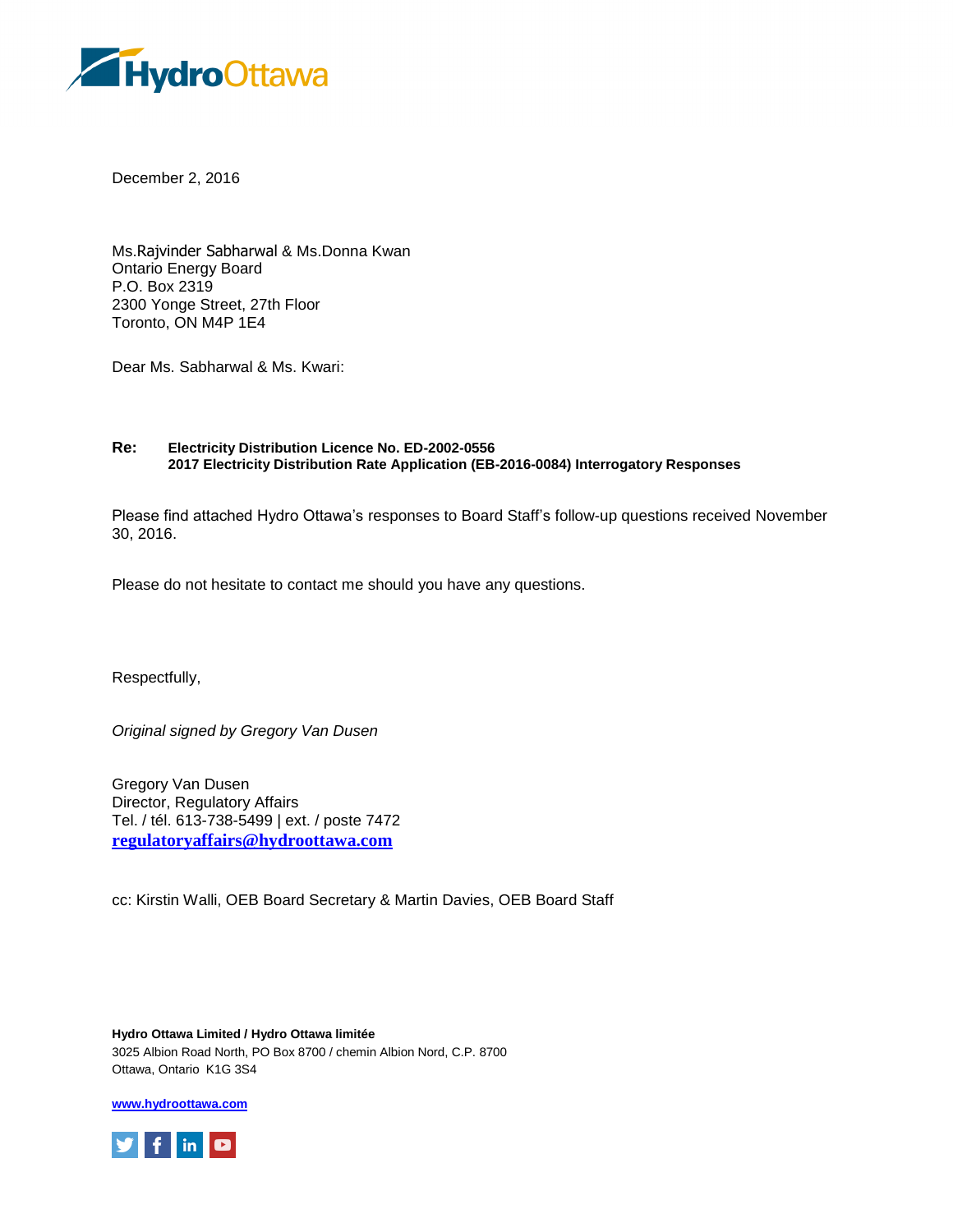

December 2, 2016

Ms.Rajvinder Sabharwal & Ms.Donna Kwan Ontario Energy Board P.O. Box 2319 2300 Yonge Street, 27th Floor Toronto, ON M4P 1E4

Dear Ms. Sabharwal & Ms. Kwari:

## **Re: Electricity Distribution Licence No. ED-2002-0556 2017 Electricity Distribution Rate Application (EB-2016-0084) Interrogatory Responses**

Please find attached Hydro Ottawa's responses to Board Staff's follow-up questions received November 30, 2016.

Please do not hesitate to contact me should you have any questions.

Respectfully,

*Original signed by Gregory Van Dusen*

Gregory Van Dusen Director, Regulatory Affairs Tel. / tél. 613-738-5499 | ext. / poste 7472 **[regulatoryaffairs@hydroottawa.com](mailto:regulatoryaffairs@hydroottawa.com)**

cc: Kirstin Walli, OEB Board Secretary & Martin Davies, OEB Board Staff

**Hydro Ottawa Limited / Hydro Ottawa limitée** 3025 Albion Road North, PO Box 8700 / chemin Albion Nord, C.P. 8700 Ottawa, Ontario K1G 3S4

**[www.hydroottawa.com](http://www.hydroottawa.com/)**

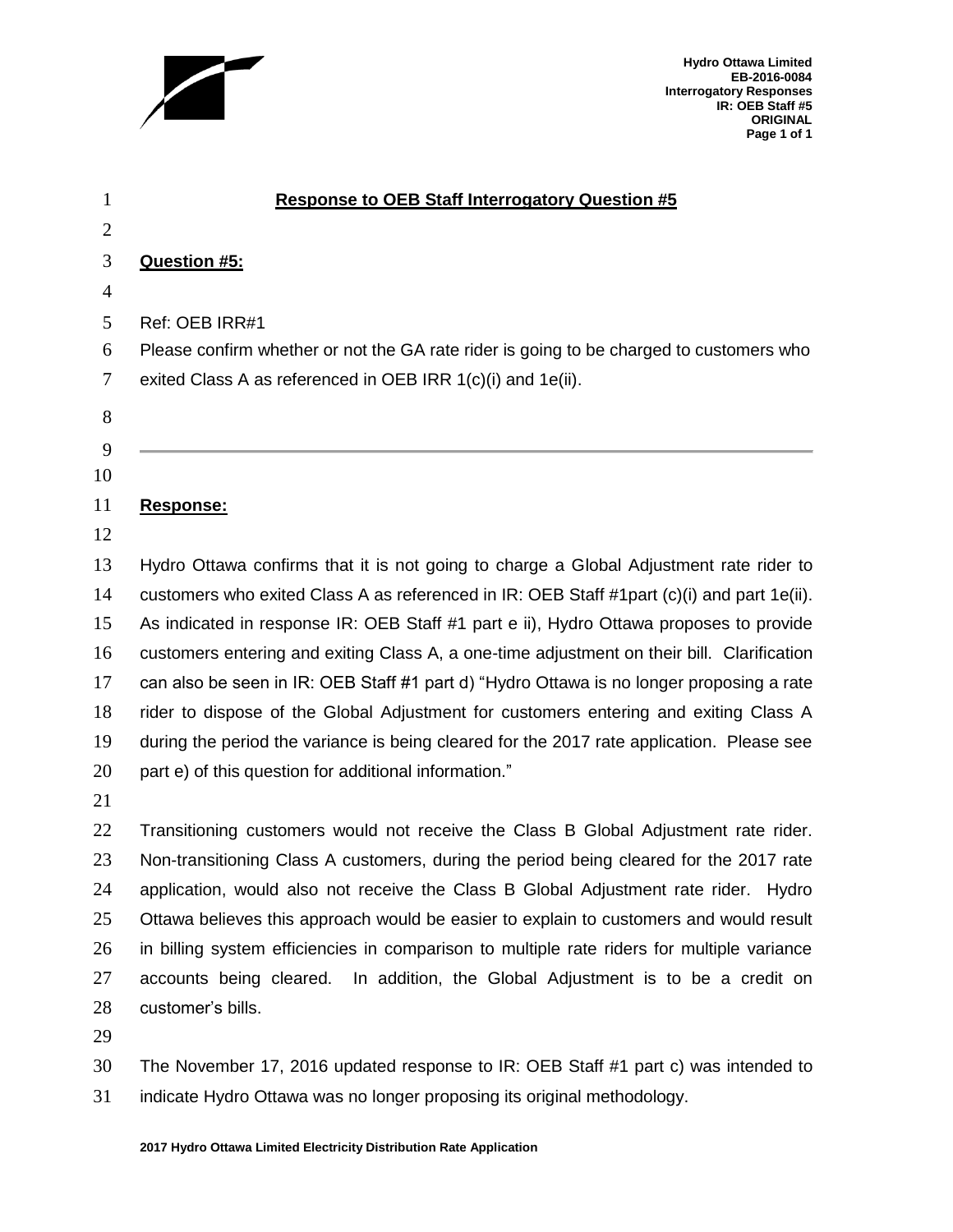

**Hydro Ottawa Limited EB-2016-0084 Interrogatory Responses IR: OEB Staff #5 ORIGINAL Page 1 of 1**

| 1              | <b>Response to OEB Staff Interrogatory Question #5</b>                                          |
|----------------|-------------------------------------------------------------------------------------------------|
| $\overline{2}$ |                                                                                                 |
| 3              | Question #5:                                                                                    |
| $\overline{4}$ |                                                                                                 |
| 5              | Ref: OEB IRR#1                                                                                  |
| 6              | Please confirm whether or not the GA rate rider is going to be charged to customers who         |
| 7              | exited Class A as referenced in OEB IRR 1(c)(i) and 1e(ii).                                     |
| 8              |                                                                                                 |
| 9              |                                                                                                 |
| 10             |                                                                                                 |
| 11             | <u>Response:</u>                                                                                |
| 12             |                                                                                                 |
| 13             | Hydro Ottawa confirms that it is not going to charge a Global Adjustment rate rider to          |
| 14             | customers who exited Class A as referenced in $IR$ : OEB Staff #1part $(c)(i)$ and part 1e(ii). |
| 15             | As indicated in response IR: OEB Staff #1 part e ii), Hydro Ottawa proposes to provide          |
| 16             | customers entering and exiting Class A, a one-time adjustment on their bill. Clarification      |
| 17             | can also be seen in IR: OEB Staff #1 part d) "Hydro Ottawa is no longer proposing a rate        |
| 18             | rider to dispose of the Global Adjustment for customers entering and exiting Class A            |
| 19             | during the period the variance is being cleared for the 2017 rate application. Please see       |
| 20             | part e) of this question for additional information."                                           |
| 21             |                                                                                                 |
| 22             | Transitioning customers would not receive the Class B Global Adjustment rate rider.             |
| 23             | Non-transitioning Class A customers, during the period being cleared for the 2017 rate          |
| 24             | application, would also not receive the Class B Global Adjustment rate rider. Hydro             |
| 25             | Ottawa believes this approach would be easier to explain to customers and would result          |
| 26             | in billing system efficiencies in comparison to multiple rate riders for multiple variance      |
| 27             | accounts being cleared. In addition, the Global Adjustment is to be a credit on                 |
| 28             | customer's bills.                                                                               |
|                |                                                                                                 |

 The November 17, 2016 updated response to IR: OEB Staff #1 part c) was intended to indicate Hydro Ottawa was no longer proposing its original methodology.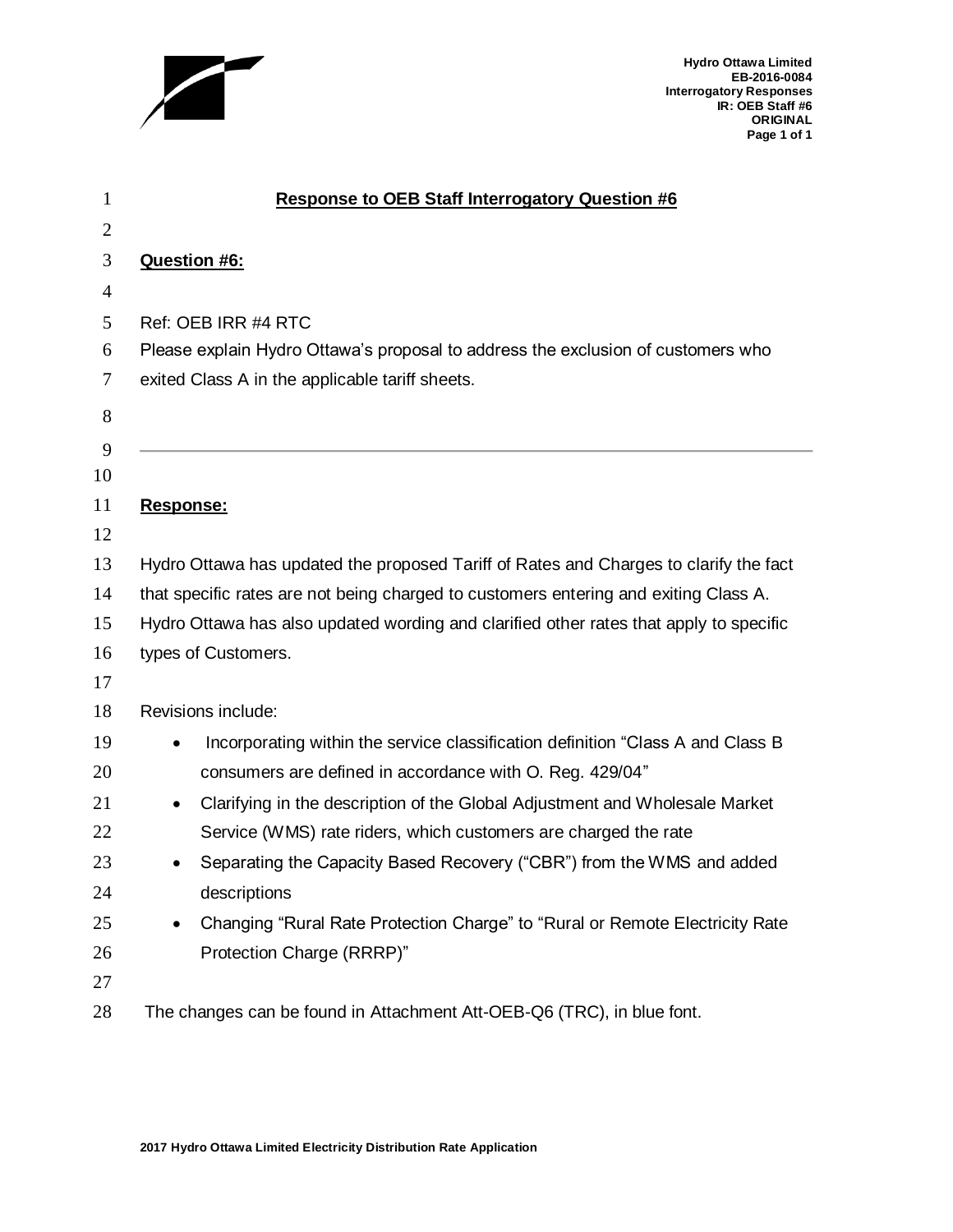

**Hydro Ottawa Limited EB-2016-0084 Interrogatory Responses IR: OEB Staff #6 ORIGINAL Page 1 of 1**

| $\mathbf{1}$   | <b>Response to OEB Staff Interrogatory Question #6</b>                                   |
|----------------|------------------------------------------------------------------------------------------|
| $\overline{2}$ |                                                                                          |
| 3              | Question #6:                                                                             |
| $\overline{4}$ |                                                                                          |
| 5              | Ref: OEB IRR #4 RTC                                                                      |
| 6              | Please explain Hydro Ottawa's proposal to address the exclusion of customers who         |
| 7              | exited Class A in the applicable tariff sheets.                                          |
| 8              |                                                                                          |
| 9              |                                                                                          |
| 10             |                                                                                          |
| 11             | Response:                                                                                |
| 12             |                                                                                          |
| 13             | Hydro Ottawa has updated the proposed Tariff of Rates and Charges to clarify the fact    |
| 14             | that specific rates are not being charged to customers entering and exiting Class A.     |
| 15             | Hydro Ottawa has also updated wording and clarified other rates that apply to specific   |
| 16             | types of Customers.                                                                      |
| 17             |                                                                                          |
| 18             | Revisions include:                                                                       |
| 19             | Incorporating within the service classification definition "Class A and Class B          |
| 20             | consumers are defined in accordance with O. Reg. 429/04"                                 |
| 21             | Clarifying in the description of the Global Adjustment and Wholesale Market<br>$\bullet$ |
| 22             | Service (WMS) rate riders, which customers are charged the rate                          |
| 23             | Separating the Capacity Based Recovery ("CBR") from the WMS and added                    |
| 24             | descriptions                                                                             |
| 25             | Changing "Rural Rate Protection Charge" to "Rural or Remote Electricity Rate             |
| 26             | Protection Charge (RRRP)"                                                                |
| 27             |                                                                                          |
| 28             | The changes can be found in Attachment Att-OEB-Q6 (TRC), in blue font.                   |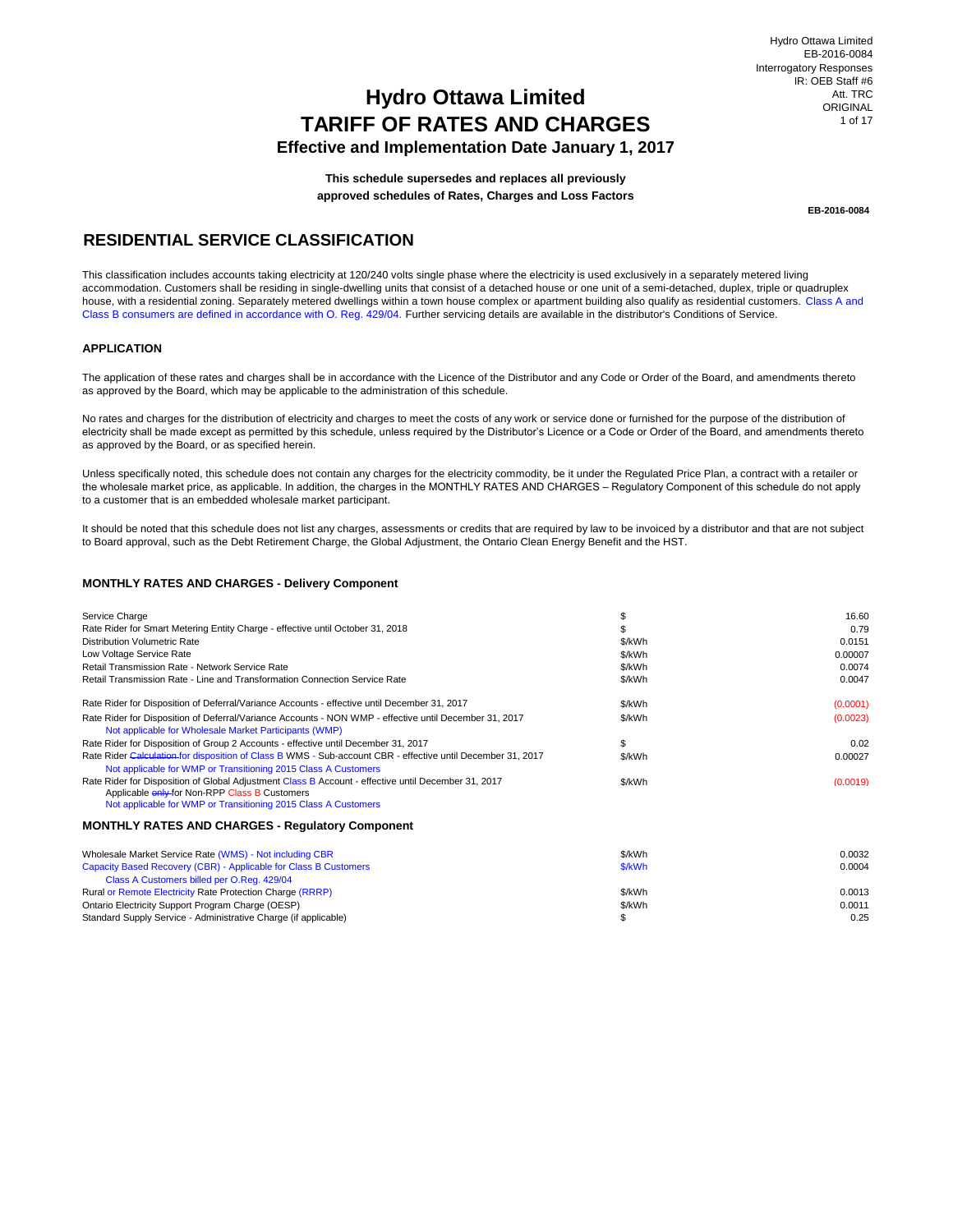## **Effective and Implementation Date January 1, 2017**

**This schedule supersedes and replaces all previously approved schedules of Rates, Charges and Loss Factors**

**EB-2016-0084**

## **RESIDENTIAL SERVICE CLASSIFICATION**

This classification includes accounts taking electricity at 120/240 volts single phase where the electricity is used exclusively in a separately metered living accommodation. Customers shall be residing in single-dwelling units that consist of a detached house or one unit of a semi-detached, duplex, triple or quadruplex house, with a residential zoning. Separately metered dwellings within a town house complex or apartment building also qualify as residential customers. Class A and Class B consumers are defined in accordance with O. Reg. 429/04. Further servicing details are available in the distributor's Conditions of Service.

### **APPLICATION**

The application of these rates and charges shall be in accordance with the Licence of the Distributor and any Code or Order of the Board, and amendments thereto as approved by the Board, which may be applicable to the administration of this schedule.

No rates and charges for the distribution of electricity and charges to meet the costs of any work or service done or furnished for the purpose of the distribution of electricity shall be made except as permitted by this schedule, unless required by the Distributor's Licence or a Code or Order of the Board, and amendments thereto as approved by the Board, or as specified herein.

Unless specifically noted, this schedule does not contain any charges for the electricity commodity, be it under the Regulated Price Plan, a contract with a retailer or the wholesale market price, as applicable. In addition, the charges in the MONTHLY RATES AND CHARGES – Regulatory Component of this schedule do not apply to a customer that is an embedded wholesale market participant.

It should be noted that this schedule does not list any charges, assessments or credits that are required by law to be invoiced by a distributor and that are not subject to Board approval, such as the Debt Retirement Charge, the Global Adjustment, the Ontario Clean Energy Benefit and the HST.

#### **MONTHLY RATES AND CHARGES - Delivery Component**

| Service Charge                                                                                                                                                                                                         | \$     | 16.60    |
|------------------------------------------------------------------------------------------------------------------------------------------------------------------------------------------------------------------------|--------|----------|
| Rate Rider for Smart Metering Entity Charge - effective until October 31, 2018                                                                                                                                         |        | 0.79     |
| Distribution Volumetric Rate                                                                                                                                                                                           | \$/kWh | 0.0151   |
| Low Voltage Service Rate                                                                                                                                                                                               | \$/kWh | 0.00007  |
| Retail Transmission Rate - Network Service Rate                                                                                                                                                                        | \$/kWh | 0.0074   |
| Retail Transmission Rate - Line and Transformation Connection Service Rate                                                                                                                                             | \$/kWh | 0.0047   |
| Rate Rider for Disposition of Deferral/Variance Accounts - effective until December 31, 2017                                                                                                                           | \$/kWh | (0.0001) |
| Rate Rider for Disposition of Deferral/Variance Accounts - NON WMP - effective until December 31, 2017<br>Not applicable for Wholesale Market Participants (WMP)                                                       | \$/kWh | (0.0023) |
| Rate Rider for Disposition of Group 2 Accounts - effective until December 31, 2017                                                                                                                                     | \$     | 0.02     |
| Rate Rider Calculation for disposition of Class B WMS - Sub-account CBR - effective until December 31, 2017<br>Not applicable for WMP or Transitioning 2015 Class A Customers                                          | \$/kWh | 0.00027  |
| Rate Rider for Disposition of Global Adjustment Class B Account - effective until December 31, 2017<br>Applicable enly for Non-RPP Class B Customers<br>Not applicable for WMP or Transitioning 2015 Class A Customers | \$/kWh | (0.0019) |
| <b>MONTHLY RATES AND CHARGES - Requiatory Component</b>                                                                                                                                                                |        |          |
| Wholesale Market Service Rate (WMS) - Not including CBR                                                                                                                                                                | \$/kWh | 0.0032   |
| Capacity Based Recovery (CBR) - Applicable for Class B Customers                                                                                                                                                       | \$/kWh | 0.0004   |
| Class A Customers billed per O.Req. 429/04                                                                                                                                                                             |        |          |
| Rural or Remote Electricity Rate Protection Charge (RRRP)                                                                                                                                                              | \$/kWh | 0.0013   |
| Ontario Electricity Support Program Charge (OESP)                                                                                                                                                                      | \$/kWh | 0.0011   |
| Standard Supply Service - Administrative Charge (if applicable)                                                                                                                                                        | \$     | 0.25     |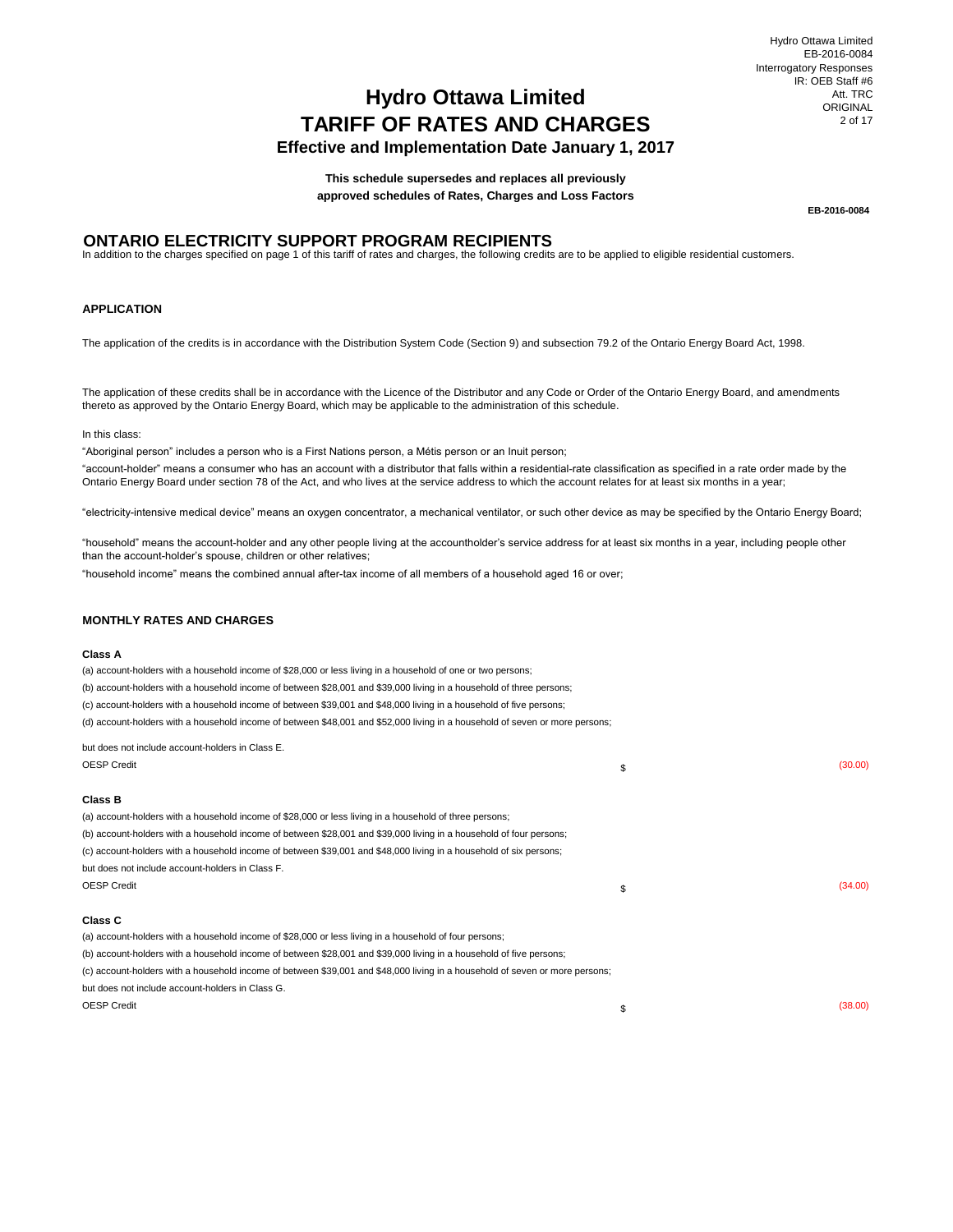# **Effective and Implementation Date January 1, 2017**

**This schedule supersedes and replaces all previously approved schedules of Rates, Charges and Loss Factors**

**EB-2016-0084**

## **ONTARIO ELECTRICITY SUPPORT PROGRAM RECIPIENTS**

In addition to the charges specified on page 1 of this tariff of rates and charges, the following credits are to be applied to eligible residential customers.

### **APPLICATION**

The application of the credits is in accordance with the Distribution System Code (Section 9) and subsection 79.2 of the Ontario Energy Board Act, 1998.

The application of these credits shall be in accordance with the Licence of the Distributor and any Code or Order of the Ontario Energy Board, and amendments thereto as approved by the Ontario Energy Board, which may be applicable to the administration of this schedule.

#### In this class:

"Aboriginal person" includes a person who is a First Nations person, a Métis person or an Inuit person;

"account-holder" means a consumer who has an account with a distributor that falls within a residential-rate classification as specified in a rate order made by the Ontario Energy Board under section 78 of the Act, and who lives at the service address to which the account relates for at least six months in a year;

"electricity-intensive medical device" means an oxygen concentrator, a mechanical ventilator, or such other device as may be specified by the Ontario Energy Board;

"household" means the account-holder and any other people living at the accountholder's service address for at least six months in a year, including people other than the account-holder's spouse, children or other relatives;

"household income" means the combined annual after-tax income of all members of a household aged 16 or over;

#### **MONTHLY RATES AND CHARGES**

#### **Class A**

 $\overline{z}$ 

but does not include account-holders in Class E. (a) account-holders with a household income of \$28,000 or less living in a household of one or two persons; (b) account-holders with a household income of between \$28,001 and \$39,000 living in a household of three persons; (c) account-holders with a household income of between \$39,001 and \$48,000 living in a household of five persons; (d) account-holders with a household income of between \$48,001 and \$52,000 living in a household of seven or more persons;

| <b>OESP Credit</b><br>\$                                                                                                     | (30.00) |
|------------------------------------------------------------------------------------------------------------------------------|---------|
| Class B                                                                                                                      |         |
| (a) account-holders with a household income of \$28,000 or less living in a household of three persons;                      |         |
| (b) account-holders with a household income of between \$28,001 and \$39,000 living in a household of four persons;          |         |
| (c) account-holders with a household income of between \$39,001 and \$48,000 living in a household of six persons;           |         |
| but does not include account-holders in Class F.                                                                             |         |
| <b>OESP Credit</b><br>\$                                                                                                     | (34.00) |
| <b>Class C</b>                                                                                                               |         |
| (a) account-holders with a household income of \$28,000 or less living in a household of four persons;                       |         |
| (b) account-holders with a household income of between \$28,001 and \$39,000 living in a household of five persons;          |         |
| (c) account-holders with a household income of between \$39,001 and \$48,000 living in a household of seven or more persons; |         |
| but does not include account-holders in Class G.                                                                             |         |
| <b>OESP Credit</b><br>\$                                                                                                     | (38.00) |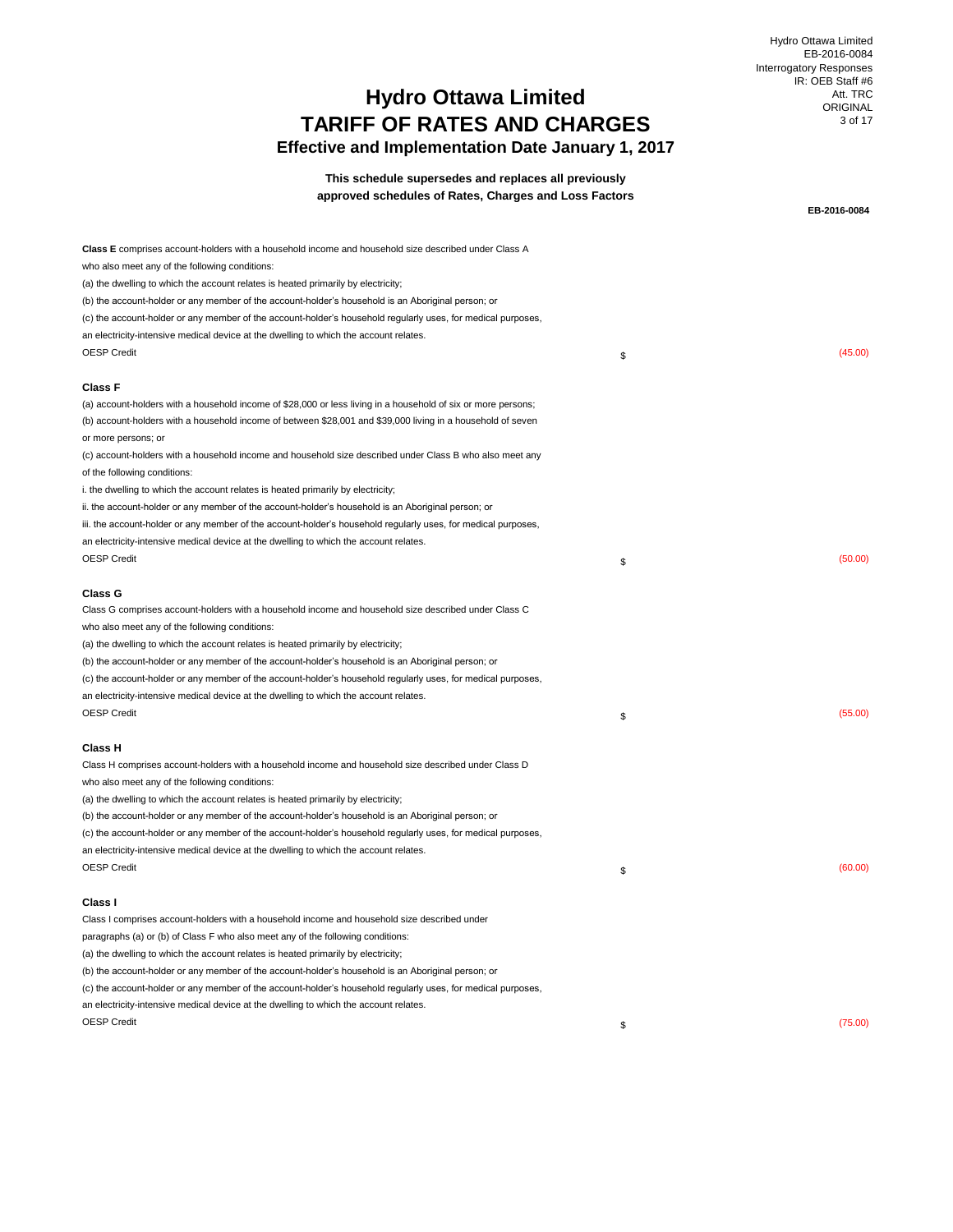Hydro Ottawa Limited EB-2016-0084 Interrogatory Responses IR: OEB Staff #6 Att. TRC ORIGINAL 3 of 17

**EB-2016-0084**

## **Effective and Implementation Date January 1, 2017**

**This schedule supersedes and replaces all previously approved schedules of Rates, Charges and Loss Factors**

| Class E comprises account-holders with a household income and household size described under Class A          |               |
|---------------------------------------------------------------------------------------------------------------|---------------|
| who also meet any of the following conditions:                                                                |               |
| (a) the dwelling to which the account relates is heated primarily by electricity;                             |               |
| (b) the account-holder or any member of the account-holder's household is an Aboriginal person; or            |               |
| (c) the account-holder or any member of the account-holder's household regularly uses, for medical purposes,  |               |
| an electricity-intensive medical device at the dwelling to which the account relates.                         |               |
| <b>OESP Credit</b>                                                                                            | \$<br>(45.00) |
| <b>Class F</b>                                                                                                |               |
| (a) account-holders with a household income of \$28,000 or less living in a household of six or more persons; |               |
| (b) account-holders with a household income of between \$28,001 and \$39,000 living in a household of seven   |               |
| or more persons; or                                                                                           |               |
| (c) account-holders with a household income and household size described under Class B who also meet any      |               |
| of the following conditions:                                                                                  |               |
| i. the dwelling to which the account relates is heated primarily by electricity;                              |               |
| ii. the account-holder or any member of the account-holder's household is an Aboriginal person; or            |               |
| iii. the account-holder or any member of the account-holder's household regularly uses, for medical purposes, |               |
| an electricity-intensive medical device at the dwelling to which the account relates.                         |               |
| <b>OESP Credit</b>                                                                                            | \$<br>(50.00) |
|                                                                                                               |               |
| Class G                                                                                                       |               |
| Class G comprises account-holders with a household income and household size described under Class C          |               |
| who also meet any of the following conditions:                                                                |               |
| (a) the dwelling to which the account relates is heated primarily by electricity;                             |               |
| (b) the account-holder or any member of the account-holder's household is an Aboriginal person; or            |               |
| (c) the account-holder or any member of the account-holder's household regularly uses, for medical purposes,  |               |
| an electricity-intensive medical device at the dwelling to which the account relates.                         |               |
| <b>OESP Credit</b>                                                                                            | \$<br>(55.00) |
| Class H                                                                                                       |               |
| Class H comprises account-holders with a household income and household size described under Class D          |               |
| who also meet any of the following conditions:                                                                |               |
| (a) the dwelling to which the account relates is heated primarily by electricity;                             |               |
| (b) the account-holder or any member of the account-holder's household is an Aboriginal person; or            |               |
| (c) the account-holder or any member of the account-holder's household regularly uses, for medical purposes,  |               |
| an electricity-intensive medical device at the dwelling to which the account relates.                         |               |
| <b>OESP Credit</b>                                                                                            | \$<br>(60.00) |
|                                                                                                               |               |
| Class I<br>Class I comprises account-holders with a household income and household size described under       |               |
| paragraphs (a) or (b) of Class F who also meet any of the following conditions:                               |               |
| (a) the dwelling to which the account relates is heated primarily by electricity;                             |               |
| (b) the account-holder or any member of the account-holder's household is an Aboriginal person; or            |               |
| (c) the account-holder or any member of the account-holder's household regularly uses, for medical purposes,  |               |
| an electricity-intensive medical device at the dwelling to which the account relates.                         |               |
| <b>OESP Credit</b>                                                                                            | (75.00)       |
|                                                                                                               | \$            |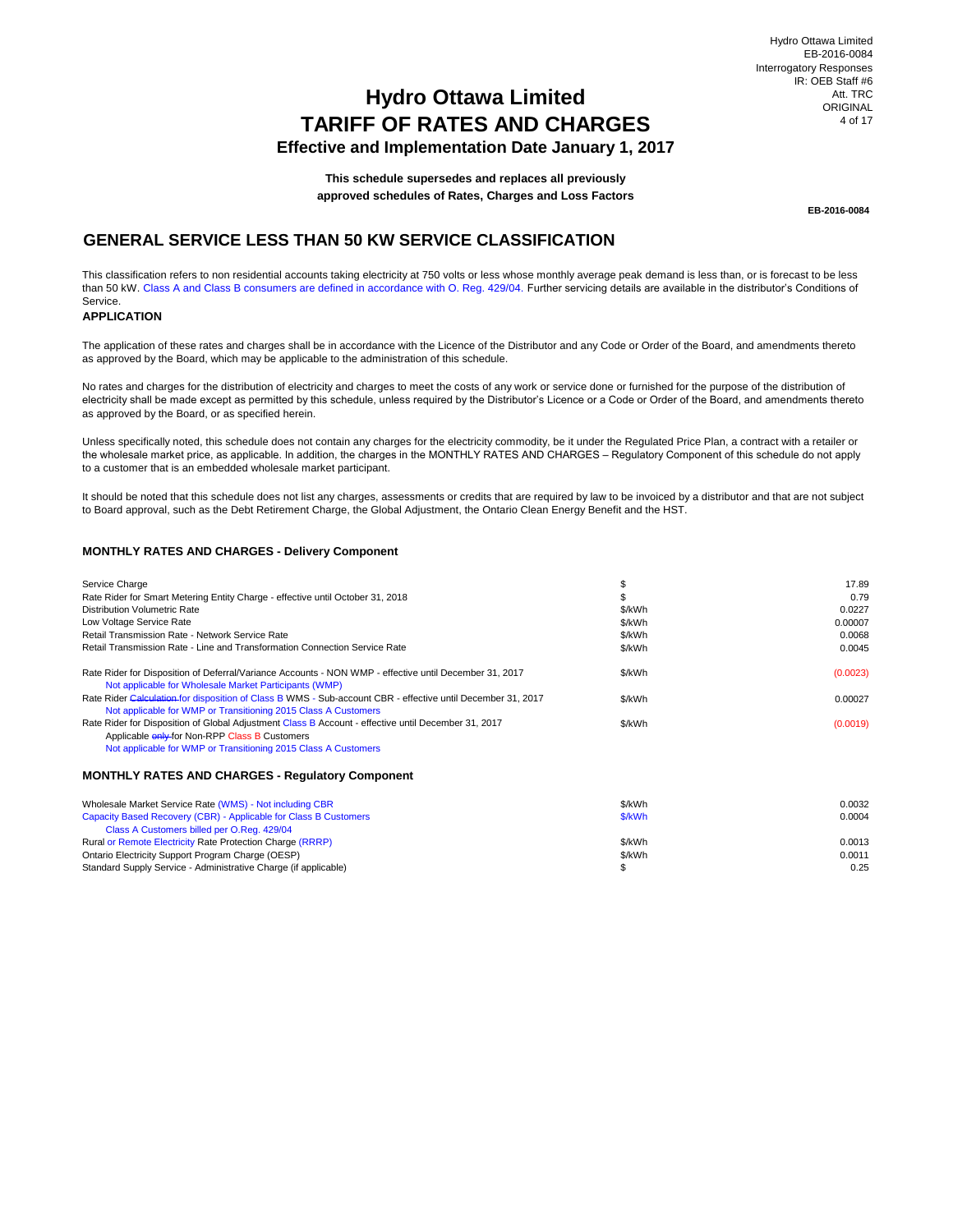## **TARIFF OF RATES AND CHARGES Effective and Implementation Date January 1, 2017 Hydro Ottawa Limited**

**This schedule supersedes and replaces all previously approved schedules of Rates, Charges and Loss Factors**

**EB-2016-0084**

## **GENERAL SERVICE LESS THAN 50 KW SERVICE CLASSIFICATION**

This classification refers to non residential accounts taking electricity at 750 volts or less whose monthly average peak demand is less than, or is forecast to be less than 50 kW. Class A and Class B consumers are defined in accordance with O. Reg. 429/04. Further servicing details are available in the distributor's Conditions of Service.

### **APPLICATION**

The application of these rates and charges shall be in accordance with the Licence of the Distributor and any Code or Order of the Board, and amendments thereto as approved by the Board, which may be applicable to the administration of this schedule.

No rates and charges for the distribution of electricity and charges to meet the costs of any work or service done or furnished for the purpose of the distribution of electricity shall be made except as permitted by this schedule, unless required by the Distributor's Licence or a Code or Order of the Board, and amendments thereto as approved by the Board, or as specified herein.

Unless specifically noted, this schedule does not contain any charges for the electricity commodity, be it under the Regulated Price Plan, a contract with a retailer or the wholesale market price, as applicable. In addition, the charges in the MONTHLY RATES AND CHARGES – Regulatory Component of this schedule do not apply to a customer that is an embedded wholesale market participant.

It should be noted that this schedule does not list any charges, assessments or credits that are required by law to be invoiced by a distributor and that are not subject to Board approval, such as the Debt Retirement Charge, the Global Adjustment, the Ontario Clean Energy Benefit and the HST.

#### **MONTHLY RATES AND CHARGES - Delivery Component**

| Service Charge                                                                                                                                                                                                                |        | 17.89    |
|-------------------------------------------------------------------------------------------------------------------------------------------------------------------------------------------------------------------------------|--------|----------|
| Rate Rider for Smart Metering Entity Charge - effective until October 31, 2018                                                                                                                                                |        | 0.79     |
| Distribution Volumetric Rate                                                                                                                                                                                                  | \$/kWh | 0.0227   |
| Low Voltage Service Rate                                                                                                                                                                                                      | \$/kWh | 0.00007  |
| Retail Transmission Rate - Network Service Rate                                                                                                                                                                               | \$/kWh | 0.0068   |
| Retail Transmission Rate - Line and Transformation Connection Service Rate                                                                                                                                                    | \$/kWh | 0.0045   |
| Rate Rider for Disposition of Deferral/Variance Accounts - NON WMP - effective until December 31, 2017<br>Not applicable for Wholesale Market Participants (WMP)                                                              | \$/kWh | (0.0023) |
| Rate Rider Calculation for disposition of Class B WMS - Sub-account CBR - effective until December 31, 2017<br>Not applicable for WMP or Transitioning 2015 Class A Customers                                                 | \$/kWh | 0.00027  |
| Rate Rider for Disposition of Global Adjustment Class B Account - effective until December 31, 2017<br>Applicable <b>enly-for Non-RPP Class B Customers</b><br>Not applicable for WMP or Transitioning 2015 Class A Customers | \$/kWh | (0.0019) |
| <b>MONTHLY RATES AND CHARGES - Requiatory Component</b>                                                                                                                                                                       |        |          |

| Wholesale Market Service Rate (WMS) - Not including CBR<br>Capacity Based Recovery (CBR) - Applicable for Class B Customers<br>Class A Customers billed per O.Reg. 429/04 | \$/kWh<br>\$/kWh | 0.0032<br>0.0004 |
|---------------------------------------------------------------------------------------------------------------------------------------------------------------------------|------------------|------------------|
| Rural or Remote Electricity Rate Protection Charge (RRRP)<br>Ontario Electricity Support Program Charge (OESP)                                                            | \$/kWh<br>\$/kWh | 0.0013<br>0.0011 |
| Standard Supply Service - Administrative Charge (if applicable)                                                                                                           |                  | 0.25             |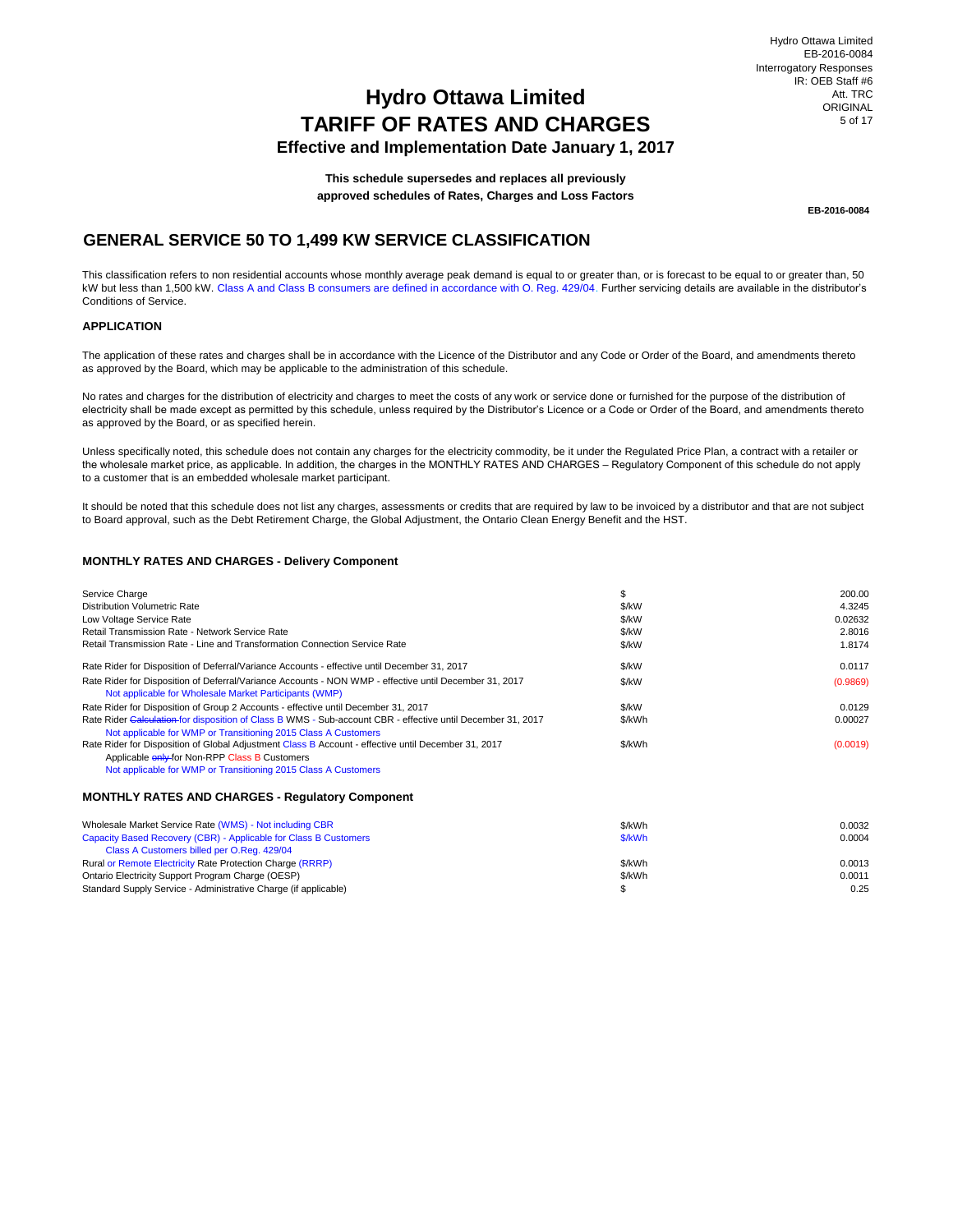## **Effective and Implementation Date January 1, 2017**

**This schedule supersedes and replaces all previously approved schedules of Rates, Charges and Loss Factors**

**EB-2016-0084**

## **GENERAL SERVICE 50 TO 1,499 KW SERVICE CLASSIFICATION**

This classification refers to non residential accounts whose monthly average peak demand is equal to or greater than, or is forecast to be equal to or greater than, 50 kW but less than 1,500 kW. Class A and Class B consumers are defined in accordance with O. Reg. 429/04. Further servicing details are available in the distributor's Conditions of Service.

### **APPLICATION**

The application of these rates and charges shall be in accordance with the Licence of the Distributor and any Code or Order of the Board, and amendments thereto as approved by the Board, which may be applicable to the administration of this schedule.

No rates and charges for the distribution of electricity and charges to meet the costs of any work or service done or furnished for the purpose of the distribution of electricity shall be made except as permitted by this schedule, unless required by the Distributor's Licence or a Code or Order of the Board, and amendments thereto as approved by the Board, or as specified herein.

Unless specifically noted, this schedule does not contain any charges for the electricity commodity, be it under the Regulated Price Plan, a contract with a retailer or the wholesale market price, as applicable. In addition, the charges in the MONTHLY RATES AND CHARGES – Regulatory Component of this schedule do not apply to a customer that is an embedded wholesale market participant.

It should be noted that this schedule does not list any charges, assessments or credits that are required by law to be invoiced by a distributor and that are not subject to Board approval, such as the Debt Retirement Charge, the Global Adjustment, the Ontario Clean Energy Benefit and the HST.

### **MONTHLY RATES AND CHARGES - Delivery Component**

| Service Charge                                                                                                                                                   | \$     | 200.00   |
|------------------------------------------------------------------------------------------------------------------------------------------------------------------|--------|----------|
| Distribution Volumetric Rate                                                                                                                                     | \$/kW  | 4.3245   |
| Low Voltage Service Rate                                                                                                                                         | \$/kW  | 0.02632  |
| Retail Transmission Rate - Network Service Rate                                                                                                                  | \$/kW  | 2.8016   |
| Retail Transmission Rate - Line and Transformation Connection Service Rate                                                                                       | \$/kW  | 1.8174   |
| Rate Rider for Disposition of Deferral/Variance Accounts - effective until December 31, 2017                                                                     | \$/kW  | 0.0117   |
| Rate Rider for Disposition of Deferral/Variance Accounts - NON WMP - effective until December 31, 2017<br>Not applicable for Wholesale Market Participants (WMP) | \$/kW  | (0.9869) |
| Rate Rider for Disposition of Group 2 Accounts - effective until December 31, 2017                                                                               | \$/kW  | 0.0129   |
| Rate Rider Calculation for disposition of Class B WMS - Sub-account CBR - effective until December 31, 2017                                                      | \$/kWh | 0.00027  |
| Not applicable for WMP or Transitioning 2015 Class A Customers                                                                                                   |        |          |
| Rate Rider for Disposition of Global Adjustment Class B Account - effective until December 31, 2017                                                              | \$/kWh | (0.0019) |
| Applicable <b>enly-for Non-RPP Class B Customers</b>                                                                                                             |        |          |
| Not applicable for WMP or Transitioning 2015 Class A Customers                                                                                                   |        |          |

#### **MONTHLY RATES AND CHARGES - Regulatory Component**

| Wholesale Market Service Rate (WMS) - Not including CBR          | \$/kWh | 0.0032 |
|------------------------------------------------------------------|--------|--------|
| Capacity Based Recovery (CBR) - Applicable for Class B Customers | \$/kWh | 0.0004 |
| Class A Customers billed per O.Reg. 429/04                       |        |        |
| Rural or Remote Electricity Rate Protection Charge (RRRP)        | \$/kWh | 0.0013 |
| Ontario Electricity Support Program Charge (OESP)                | \$/kWh | 0.0011 |
| Standard Supply Service - Administrative Charge (if applicable)  |        | 0.25   |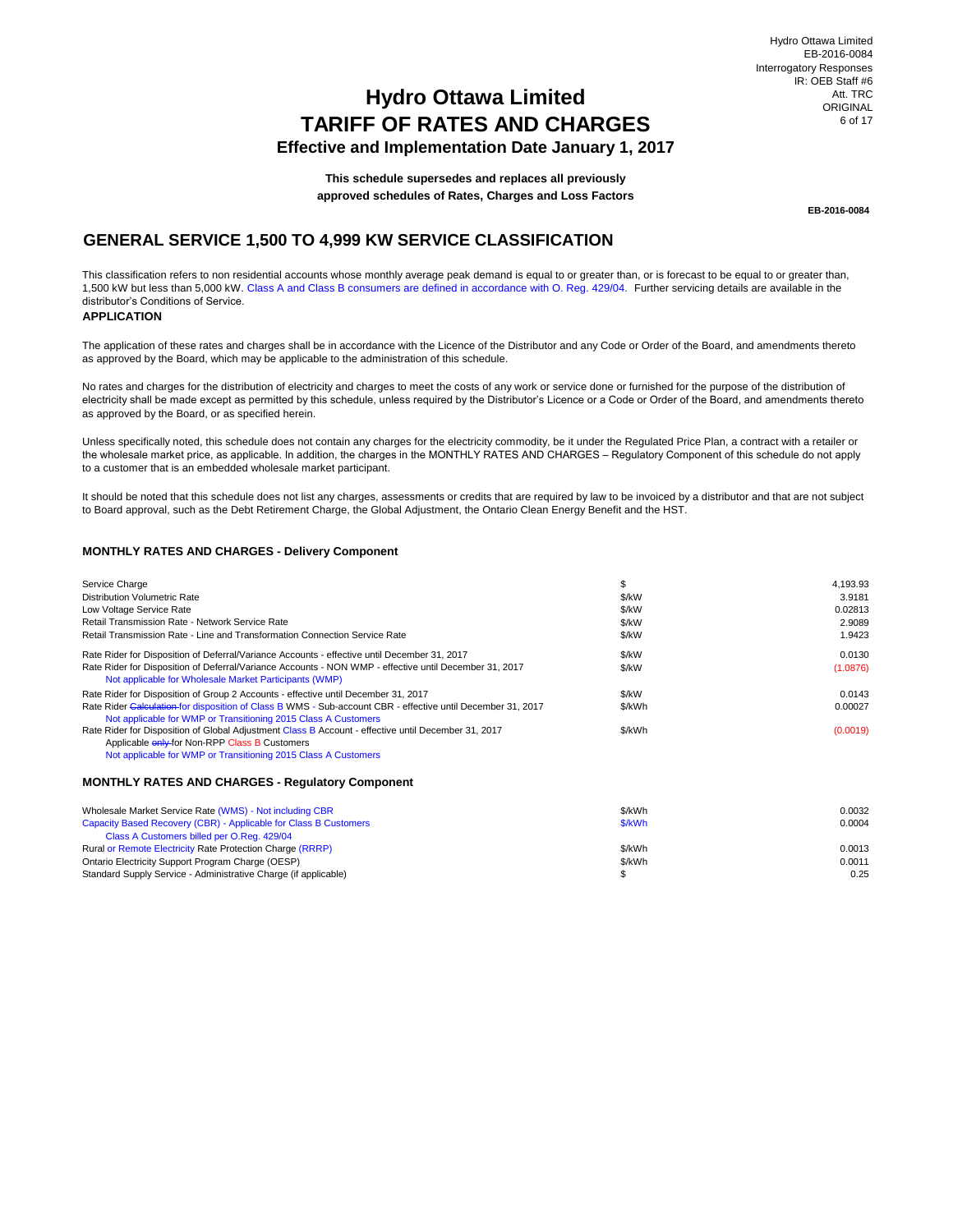Hydro Ottawa Limited EB-2016-0084 Interrogatory Responses IR: OEB Staff #6 Att. TRC ORIGINAL 6 of 17

## **Hydro Ottawa Limited TARIFF OF RATES AND CHARGES**

## **Effective and Implementation Date January 1, 2017**

**This schedule supersedes and replaces all previously approved schedules of Rates, Charges and Loss Factors**

**EB-2016-0084**

## **GENERAL SERVICE 1,500 TO 4,999 KW SERVICE CLASSIFICATION**

This classification refers to non residential accounts whose monthly average peak demand is equal to or greater than, or is forecast to be equal to or greater than, 1,500 kW but less than 5,000 kW. Class A and Class B consumers are defined in accordance with O. Reg. 429/04. Further servicing details are available in the distributor's Conditions of Service.

## **APPLICATION**

The application of these rates and charges shall be in accordance with the Licence of the Distributor and any Code or Order of the Board, and amendments thereto as approved by the Board, which may be applicable to the administration of this schedule.

No rates and charges for the distribution of electricity and charges to meet the costs of any work or service done or furnished for the purpose of the distribution of electricity shall be made except as permitted by this schedule, unless required by the Distributor's Licence or a Code or Order of the Board, and amendments thereto as approved by the Board, or as specified herein.

Unless specifically noted, this schedule does not contain any charges for the electricity commodity, be it under the Regulated Price Plan, a contract with a retailer or the wholesale market price, as applicable. In addition, the charges in the MONTHLY RATES AND CHARGES – Regulatory Component of this schedule do not apply to a customer that is an embedded wholesale market participant.

It should be noted that this schedule does not list any charges, assessments or credits that are required by law to be invoiced by a distributor and that are not subject to Board approval, such as the Debt Retirement Charge, the Global Adjustment, the Ontario Clean Energy Benefit and the HST.

#### **MONTHLY RATES AND CHARGES - Delivery Component**

| Service Charge                                                                                                                                                                | \$            | 4,193.93 |
|-------------------------------------------------------------------------------------------------------------------------------------------------------------------------------|---------------|----------|
| Distribution Volumetric Rate                                                                                                                                                  | \$/kW         | 3.9181   |
| Low Voltage Service Rate                                                                                                                                                      | \$/kW         | 0.02813  |
| Retail Transmission Rate - Network Service Rate                                                                                                                               | \$/kW         | 2.9089   |
| Retail Transmission Rate - Line and Transformation Connection Service Rate                                                                                                    | \$/kW         | 1.9423   |
| Rate Rider for Disposition of Deferral/Variance Accounts - effective until December 31, 2017                                                                                  | \$/kW         | 0.0130   |
| Rate Rider for Disposition of Deferral/Variance Accounts - NON WMP - effective until December 31, 2017<br>Not applicable for Wholesale Market Participants (WMP)              | \$/kW         | (1.0876) |
| Rate Rider for Disposition of Group 2 Accounts - effective until December 31, 2017                                                                                            | $\frac{K}{W}$ | 0.0143   |
| Rate Rider Calculation for disposition of Class B WMS - Sub-account CBR - effective until December 31, 2017<br>Not applicable for WMP or Transitioning 2015 Class A Customers | \$/kWh        | 0.00027  |
| Rate Rider for Disposition of Global Adjustment Class B Account - effective until December 31, 2017<br>Applicable enly-for Non-RPP Class B Customers                          | \$/kWh        | (0.0019) |
| Not applicable for WMP or Transitioning 2015 Class A Customers                                                                                                                |               |          |
| <b>MONTHLY RATES AND CHARGES - Requiatory Component</b>                                                                                                                       |               |          |
| Wholesale Market Service Rate (WMS) - Not including CBR                                                                                                                       | \$/kWh        | 0.0032   |
| Capacity Based Recovery (CBR) - Applicable for Class B Customers                                                                                                              | \$/kWh        | 0.0004   |
| Class A Customers billed per O.Reg. 429/04                                                                                                                                    |               |          |
| Rural or Remote Electricity Rate Protection Charge (RRRP)                                                                                                                     | \$/kWh        | 0.0013   |
| Ontario Electricity Support Program Charge (OESP)                                                                                                                             | \$/kWh        | 0.0011   |
| Standard Supply Service - Administrative Charge (if applicable)                                                                                                               | \$            | 0.25     |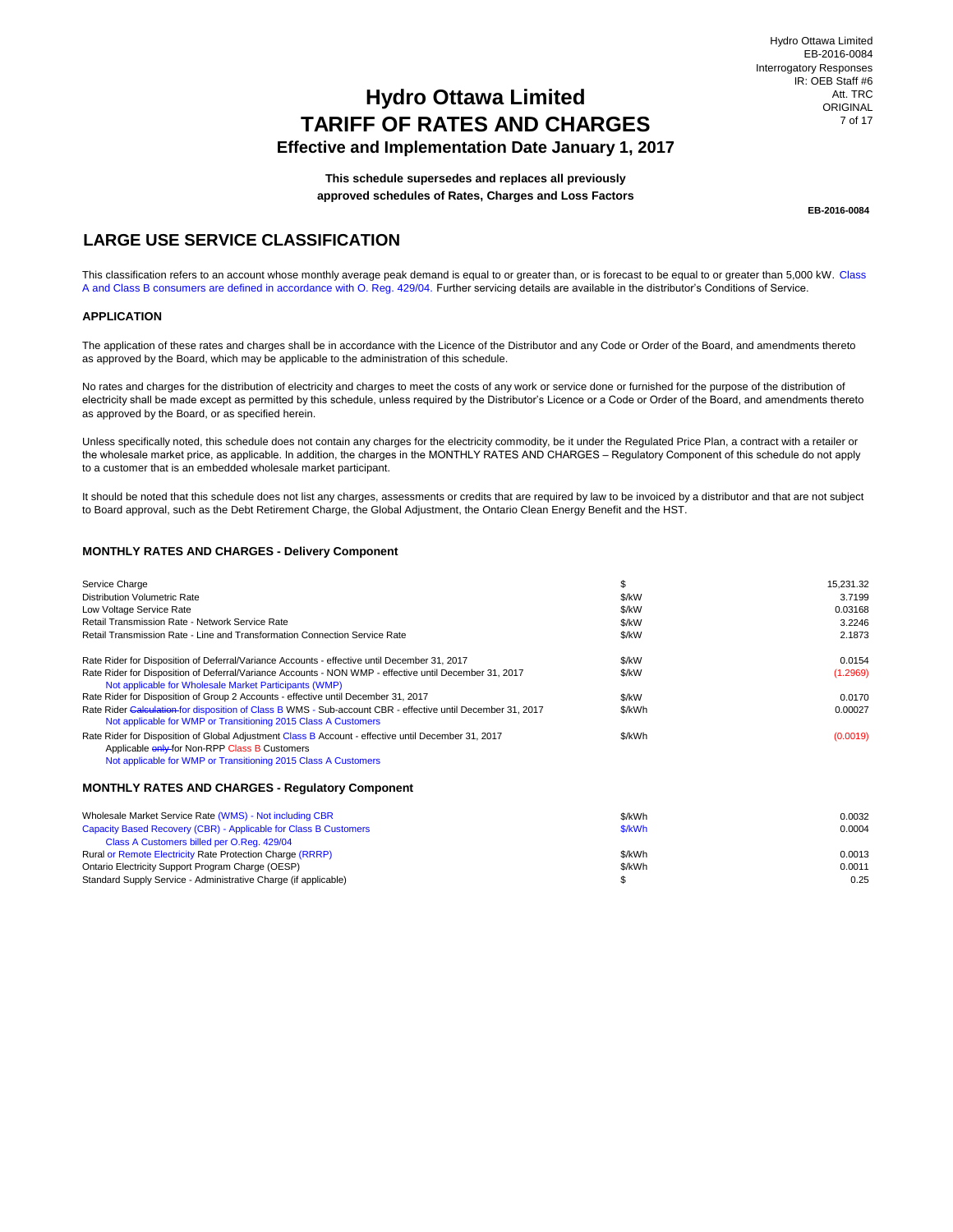## **Effective and Implementation Date January 1, 2017**

**This schedule supersedes and replaces all previously approved schedules of Rates, Charges and Loss Factors**

**EB-2016-0084**

 $\$\$  0.25

## **LARGE USE SERVICE CLASSIFICATION**

This classification refers to an account whose monthly average peak demand is equal to or greater than, or is forecast to be equal to or greater than 5,000 kW. Class A and Class B consumers are defined in accordance with O. Reg. 429/04. Further servicing details are available in the distributor's Conditions of Service.

#### **APPLICATION**

The application of these rates and charges shall be in accordance with the Licence of the Distributor and any Code or Order of the Board, and amendments thereto as approved by the Board, which may be applicable to the administration of this schedule.

No rates and charges for the distribution of electricity and charges to meet the costs of any work or service done or furnished for the purpose of the distribution of electricity shall be made except as permitted by this schedule, unless required by the Distributor's Licence or a Code or Order of the Board, and amendments thereto as approved by the Board, or as specified herein.

Unless specifically noted, this schedule does not contain any charges for the electricity commodity, be it under the Regulated Price Plan, a contract with a retailer or the wholesale market price, as applicable. In addition, the charges in the MONTHLY RATES AND CHARGES – Regulatory Component of this schedule do not apply to a customer that is an embedded wholesale market participant.

It should be noted that this schedule does not list any charges, assessments or credits that are required by law to be invoiced by a distributor and that are not subject to Board approval, such as the Debt Retirement Charge, the Global Adjustment, the Ontario Clean Energy Benefit and the HST.

#### **MONTHLY RATES AND CHARGES - Delivery Component**

Standard Supply Service - Administrative Charge (if applicable)

| Service Charge<br><b>Distribution Volumetric Rate</b><br>Low Voltage Service Rate<br>Retail Transmission Rate - Network Service Rate                                                                                                                             | \$<br>\$/kW<br>\$/kW<br>\$/kW | 15,231.32<br>3.7199<br>0.03168<br>3.2246 |
|------------------------------------------------------------------------------------------------------------------------------------------------------------------------------------------------------------------------------------------------------------------|-------------------------------|------------------------------------------|
| Retail Transmission Rate - Line and Transformation Connection Service Rate                                                                                                                                                                                       | \$/kW                         | 2.1873                                   |
| Rate Rider for Disposition of Deferral/Variance Accounts - effective until December 31, 2017<br>Rate Rider for Disposition of Deferral/Variance Accounts - NON WMP - effective until December 31, 2017<br>Not applicable for Wholesale Market Participants (WMP) | \$/kW<br>\$/kW                | 0.0154<br>(1.2969)                       |
| Rate Rider for Disposition of Group 2 Accounts - effective until December 31, 2017                                                                                                                                                                               | \$/kW                         | 0.0170                                   |
| Rate Rider Galeulation for disposition of Class B WMS - Sub-account CBR - effective until December 31, 2017<br>Not applicable for WMP or Transitioning 2015 Class A Customers                                                                                    | \$/kWh                        | 0.00027                                  |
| Rate Rider for Disposition of Global Adjustment Class B Account - effective until December 31, 2017<br>Applicable enly for Non-RPP Class B Customers<br>Not applicable for WMP or Transitioning 2015 Class A Customers                                           | \$/kWh                        | (0.0019)                                 |
| <b>MONTHLY RATES AND CHARGES - Requiatory Component</b>                                                                                                                                                                                                          |                               |                                          |
| Wholesale Market Service Rate (WMS) - Not including CBR                                                                                                                                                                                                          | \$/kWh                        | 0.0032                                   |
| Capacity Based Recovery (CBR) - Applicable for Class B Customers                                                                                                                                                                                                 | \$/kWh                        | 0.0004                                   |
| Class A Customers billed per O.Reg. 429/04                                                                                                                                                                                                                       |                               |                                          |
| Rural or Remote Electricity Rate Protection Charge (RRRP)                                                                                                                                                                                                        | \$/kWh                        | 0.0013                                   |

Ontario Electricity Support Program Charge (OESP)  $\,$  0.0011  $\,$  5/kWh  $\,$  5/kWh  $\,$  0.0011  $\,$  0.0011  $\,$  0.0011  $\,$  0.0011  $\,$  0.0011  $\,$  0.0011  $\,$  0.0011  $\,$  0.0011  $\,$  0.0011  $\,$  0.0011  $\,$  0.0011  $\,$  0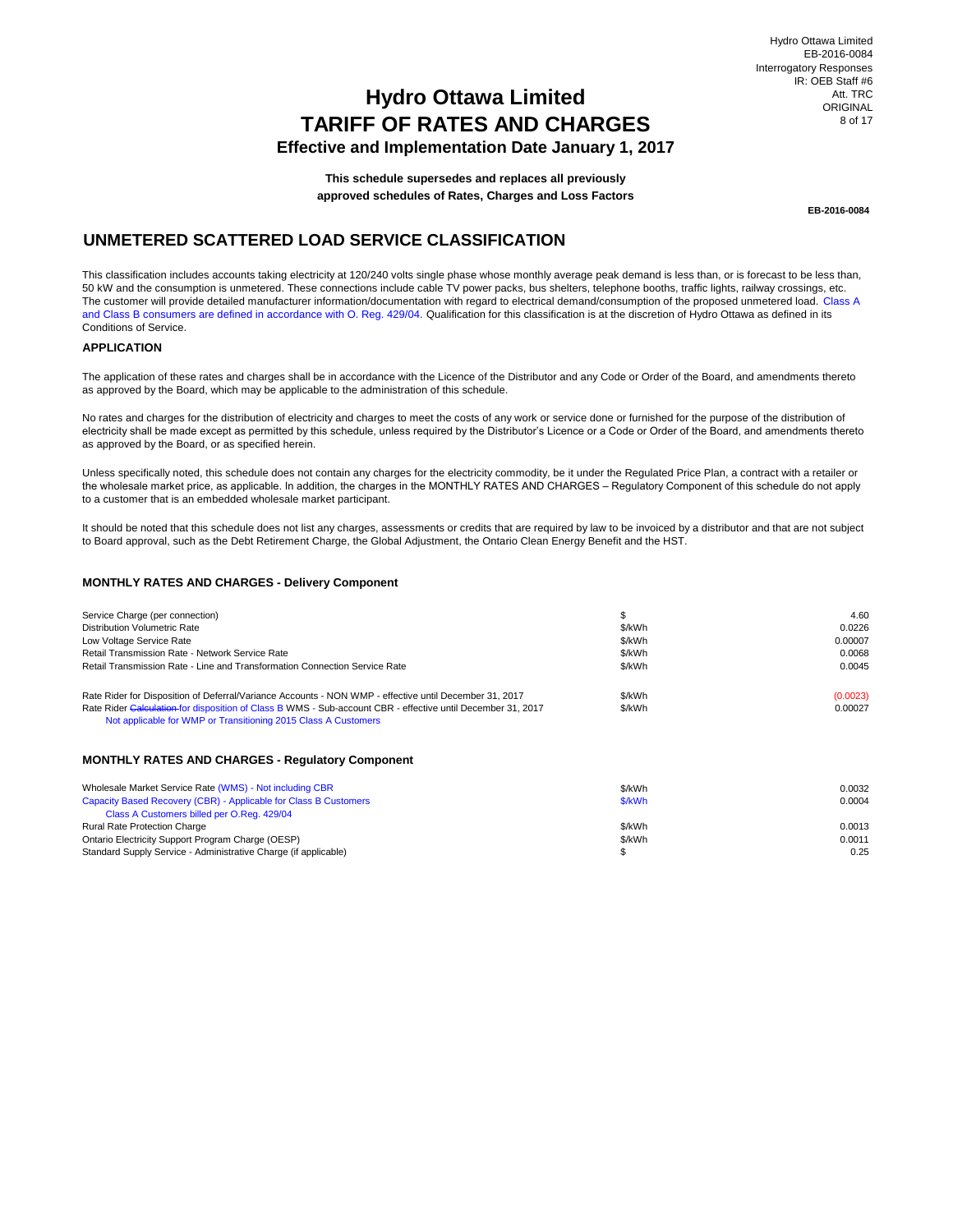**Effective and Implementation Date January 1, 2017**

**This schedule supersedes and replaces all previously approved schedules of Rates, Charges and Loss Factors**

**EB-2016-0084**

## **UNMETERED SCATTERED LOAD SERVICE CLASSIFICATION**

This classification includes accounts taking electricity at 120/240 volts single phase whose monthly average peak demand is less than, or is forecast to be less than, 50 kW and the consumption is unmetered. These connections include cable TV power packs, bus shelters, telephone booths, traffic lights, railway crossings, etc. The customer will provide detailed manufacturer information/documentation with regard to electrical demand/consumption of the proposed unmetered load. Class A and Class B consumers are defined in accordance with O. Reg. 429/04. Qualification for this classification is at the discretion of Hydro Ottawa as defined in its Conditions of Service.

### **APPLICATION**

The application of these rates and charges shall be in accordance with the Licence of the Distributor and any Code or Order of the Board, and amendments thereto as approved by the Board, which may be applicable to the administration of this schedule.

No rates and charges for the distribution of electricity and charges to meet the costs of any work or service done or furnished for the purpose of the distribution of electricity shall be made except as permitted by this schedule, unless required by the Distributor's Licence or a Code or Order of the Board, and amendments thereto as approved by the Board, or as specified herein.

Unless specifically noted, this schedule does not contain any charges for the electricity commodity, be it under the Regulated Price Plan, a contract with a retailer or the wholesale market price, as applicable. In addition, the charges in the MONTHLY RATES AND CHARGES – Regulatory Component of this schedule do not apply to a customer that is an embedded wholesale market participant.

It should be noted that this schedule does not list any charges, assessments or credits that are required by law to be invoiced by a distributor and that are not subject to Board approval, such as the Debt Retirement Charge, the Global Adjustment, the Ontario Clean Energy Benefit and the HST.

#### **MONTHLY RATES AND CHARGES - Delivery Component**

| Service Charge (per connection)<br>Distribution Volumetric Rate<br>Low Voltage Service Rate                                                                                                                                                                                             | \$/kWh<br>\$/kWh | 4.60<br>0.0226<br>0.00007 |
|-----------------------------------------------------------------------------------------------------------------------------------------------------------------------------------------------------------------------------------------------------------------------------------------|------------------|---------------------------|
| Retail Transmission Rate - Network Service Rate<br>Retail Transmission Rate - Line and Transformation Connection Service Rate                                                                                                                                                           | \$/kWh<br>\$/kWh | 0.0068<br>0.0045          |
| Rate Rider for Disposition of Deferral/Variance Accounts - NON WMP - effective until December 31, 2017<br>Rate Rider Calculation for disposition of Class B WMS - Sub-account CBR - effective until December 31, 2017<br>Not applicable for WMP or Transitioning 2015 Class A Customers | \$/kWh<br>\$/kWh | (0.0023)<br>0.00027       |
| <b>MONTHLY RATES AND CHARGES - Requiatory Component</b>                                                                                                                                                                                                                                 |                  |                           |
| Wholesale Market Service Rate (WMS) - Not including CBR                                                                                                                                                                                                                                 | \$/kWh           | 0.0032                    |

| Wholesale Market Service Rate (WMS) - Not including CBR          | \$/KWh | 0.0032 |
|------------------------------------------------------------------|--------|--------|
| Capacity Based Recovery (CBR) - Applicable for Class B Customers | \$/kWh | 0.0004 |
| Class A Customers billed per O.Reg. 429/04                       |        |        |
| <b>Rural Rate Protection Charge</b>                              | \$/kWh | 0.0013 |
| Ontario Electricity Support Program Charge (OESP)                | \$/kWh | 0.0011 |
| Standard Supply Service - Administrative Charge (if applicable)  |        | 0.25   |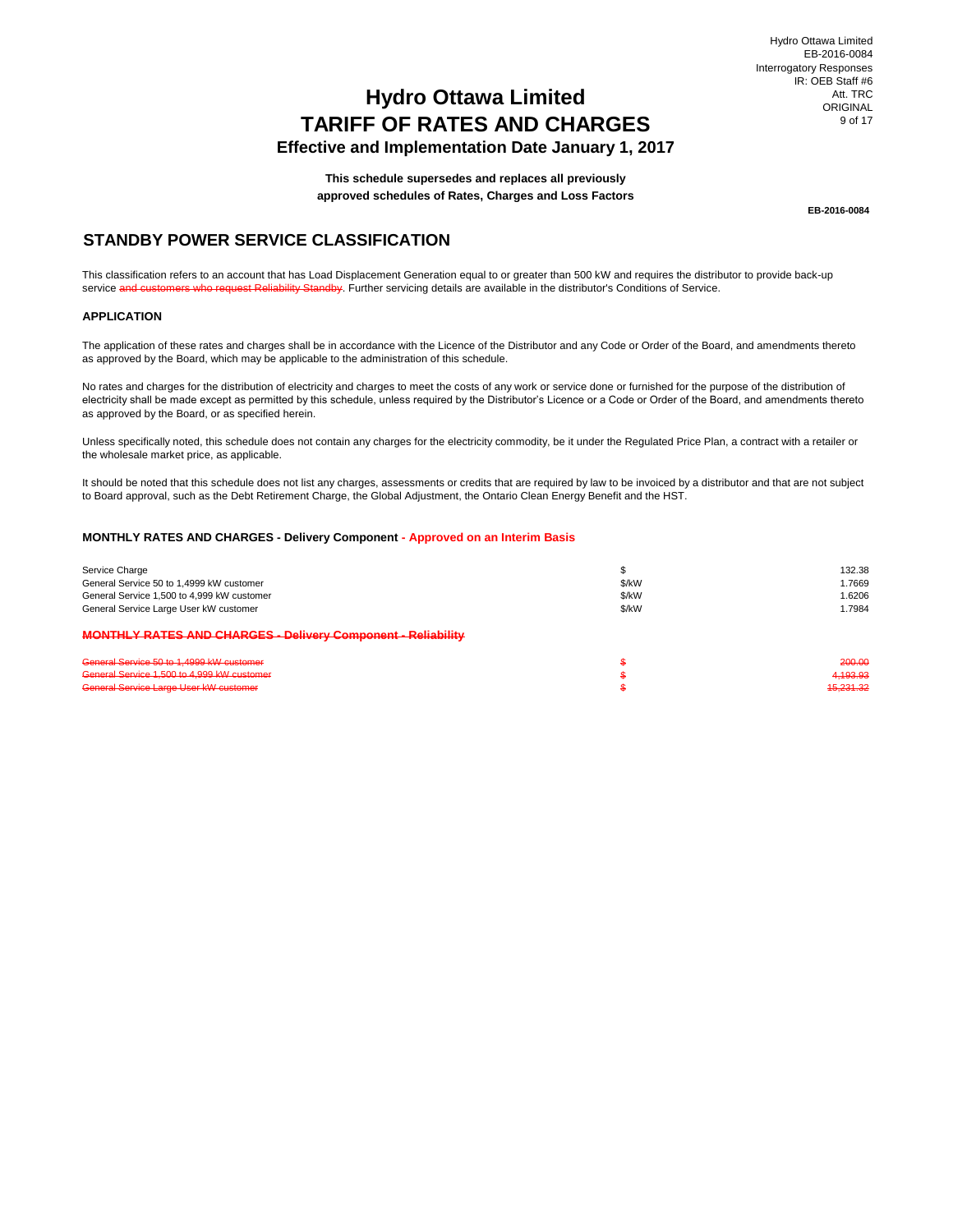## **Effective and Implementation Date January 1, 2017**

**This schedule supersedes and replaces all previously approved schedules of Rates, Charges and Loss Factors**

**EB-2016-0084**

## **STANDBY POWER SERVICE CLASSIFICATION**

This classification refers to an account that has Load Displacement Generation equal to or greater than 500 kW and requires the distributor to provide back-up service and customers who request Reliability Standby. Further servicing details are available in the distributor's Conditions of Service.

### **APPLICATION**

The application of these rates and charges shall be in accordance with the Licence of the Distributor and any Code or Order of the Board, and amendments thereto as approved by the Board, which may be applicable to the administration of this schedule.

No rates and charges for the distribution of electricity and charges to meet the costs of any work or service done or furnished for the purpose of the distribution of electricity shall be made except as permitted by this schedule, unless required by the Distributor's Licence or a Code or Order of the Board, and amendments thereto as approved by the Board, or as specified herein.

Unless specifically noted, this schedule does not contain any charges for the electricity commodity, be it under the Regulated Price Plan, a contract with a retailer or the wholesale market price, as applicable.

It should be noted that this schedule does not list any charges, assessments or credits that are required by law to be invoiced by a distributor and that are not subject to Board approval, such as the Debt Retirement Charge, the Global Adjustment, the Ontario Clean Energy Benefit and the HST.

#### **MONTHLY RATES AND CHARGES - Delivery Component - Approved on an Interim Basis**

| Service Charge                                                      |       | 132.38    |
|---------------------------------------------------------------------|-------|-----------|
| General Service 50 to 1,4999 kW customer                            | \$/kW | 1.7669    |
| General Service 1,500 to 4,999 kW customer                          | \$/kW | 1.6206    |
| General Service Large User kW customer                              | \$/kW | 1.7984    |
| <b>MONTHLY RATES AND CHARGES - Delivery Component - Reliability</b> |       |           |
| General Service 50 to 1,4999 kW customer                            |       | 200.00    |
| General Service 1,500 to 4,999 kW customer                          |       | 4,193.93  |
| General Service Large User kW customer                              |       | 45.231.32 |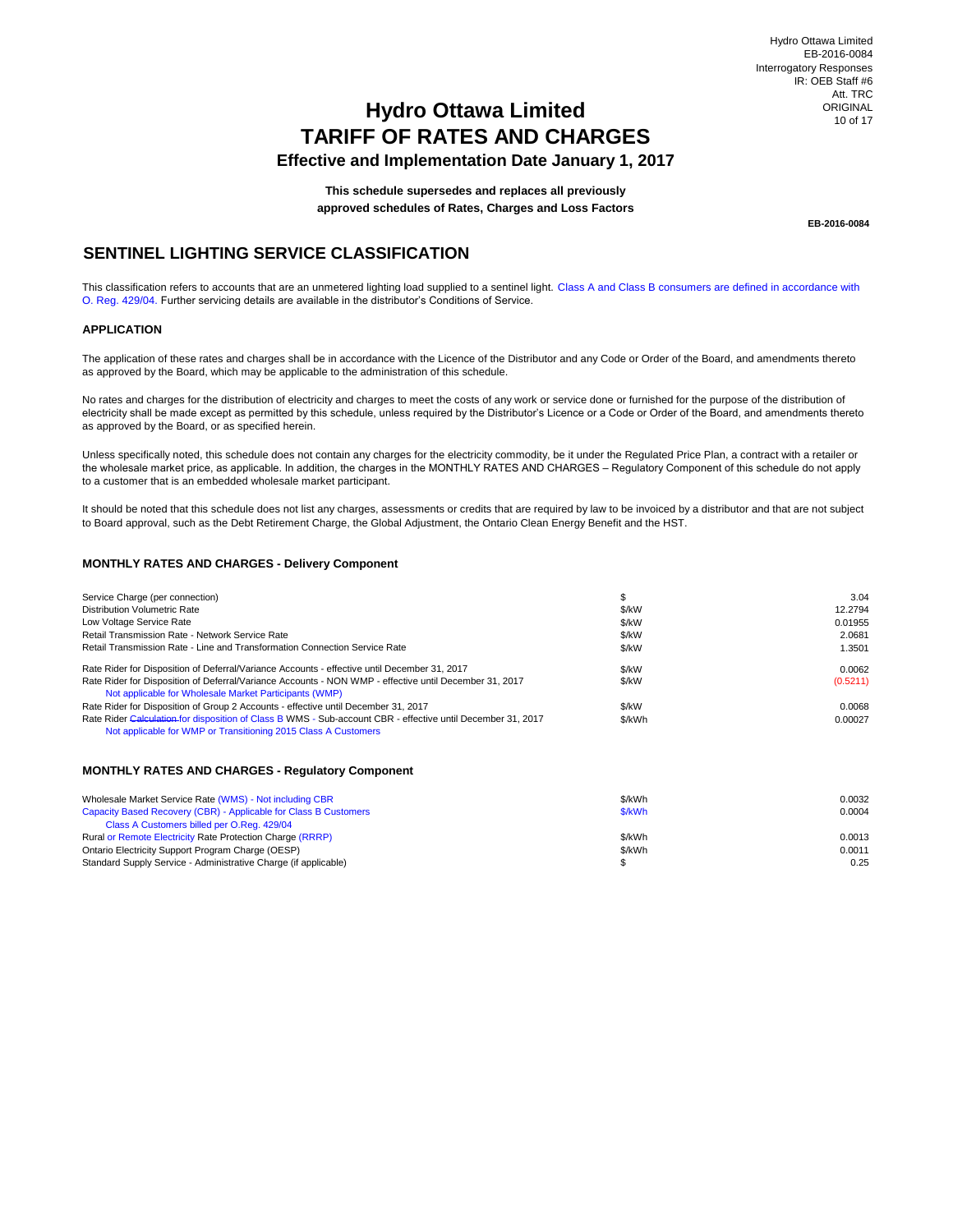## **Hydro Ottawa Limited TARIFF OF RATES AND CHARGES Effective and Implementation Date January 1, 2017**

**This schedule supersedes and replaces all previously approved schedules of Rates, Charges and Loss Factors**

**EB-2016-0084**

## **SENTINEL LIGHTING SERVICE CLASSIFICATION**

This classification refers to accounts that are an unmetered lighting load supplied to a sentinel light. Class A and Class B consumers are defined in accordance with O. Reg. 429/04. Further servicing details are available in the distributor's Conditions of Service.

#### **APPLICATION**

The application of these rates and charges shall be in accordance with the Licence of the Distributor and any Code or Order of the Board, and amendments thereto as approved by the Board, which may be applicable to the administration of this schedule.

No rates and charges for the distribution of electricity and charges to meet the costs of any work or service done or furnished for the purpose of the distribution of electricity shall be made except as permitted by this schedule, unless required by the Distributor's Licence or a Code or Order of the Board, and amendments thereto as approved by the Board, or as specified herein.

Unless specifically noted, this schedule does not contain any charges for the electricity commodity, be it under the Regulated Price Plan, a contract with a retailer or the wholesale market price, as applicable. In addition, the charges in the MONTHLY RATES AND CHARGES – Regulatory Component of this schedule do not apply to a customer that is an embedded wholesale market participant.

It should be noted that this schedule does not list any charges, assessments or credits that are required by law to be invoiced by a distributor and that are not subject to Board approval, such as the Debt Retirement Charge, the Global Adjustment, the Ontario Clean Energy Benefit and the HST.

### **MONTHLY RATES AND CHARGES - Delivery Component**

| Service Charge (per connection)                                                                                                                                               |        | 3.04     |
|-------------------------------------------------------------------------------------------------------------------------------------------------------------------------------|--------|----------|
| Distribution Volumetric Rate                                                                                                                                                  | \$/kW  | 12.2794  |
| Low Voltage Service Rate                                                                                                                                                      | \$/kW  | 0.01955  |
| Retail Transmission Rate - Network Service Rate                                                                                                                               | \$/kW  | 2.0681   |
| Retail Transmission Rate - Line and Transformation Connection Service Rate                                                                                                    | \$/kW  | 1.3501   |
| Rate Rider for Disposition of Deferral/Variance Accounts - effective until December 31, 2017                                                                                  | \$/kW  | 0.0062   |
| Rate Rider for Disposition of Deferral/Variance Accounts - NON WMP - effective until December 31, 2017<br>Not applicable for Wholesale Market Participants (WMP)              | \$/kW  | (0.5211) |
| Rate Rider for Disposition of Group 2 Accounts - effective until December 31, 2017                                                                                            | \$/kW  | 0.0068   |
| Rate Rider Calculation for disposition of Class B WMS - Sub-account CBR - effective until December 31, 2017<br>Not applicable for WMP or Transitioning 2015 Class A Customers | \$/kWh | 0.00027  |

#### **MONTHLY RATES AND CHARGES - Regulatory Component**

| Wholesale Market Service Rate (WMS) - Not including CBR          | \$/kWh | 0.0032 |
|------------------------------------------------------------------|--------|--------|
| Capacity Based Recovery (CBR) - Applicable for Class B Customers | \$/kWh | 0.0004 |
| Class A Customers billed per O.Reg. 429/04                       |        |        |
| Rural or Remote Electricity Rate Protection Charge (RRRP)        | \$/kWh | 0.0013 |
| Ontario Electricity Support Program Charge (OESP)                | \$/kWh | 0.0011 |
| Standard Supply Service - Administrative Charge (if applicable)  |        | 0.25   |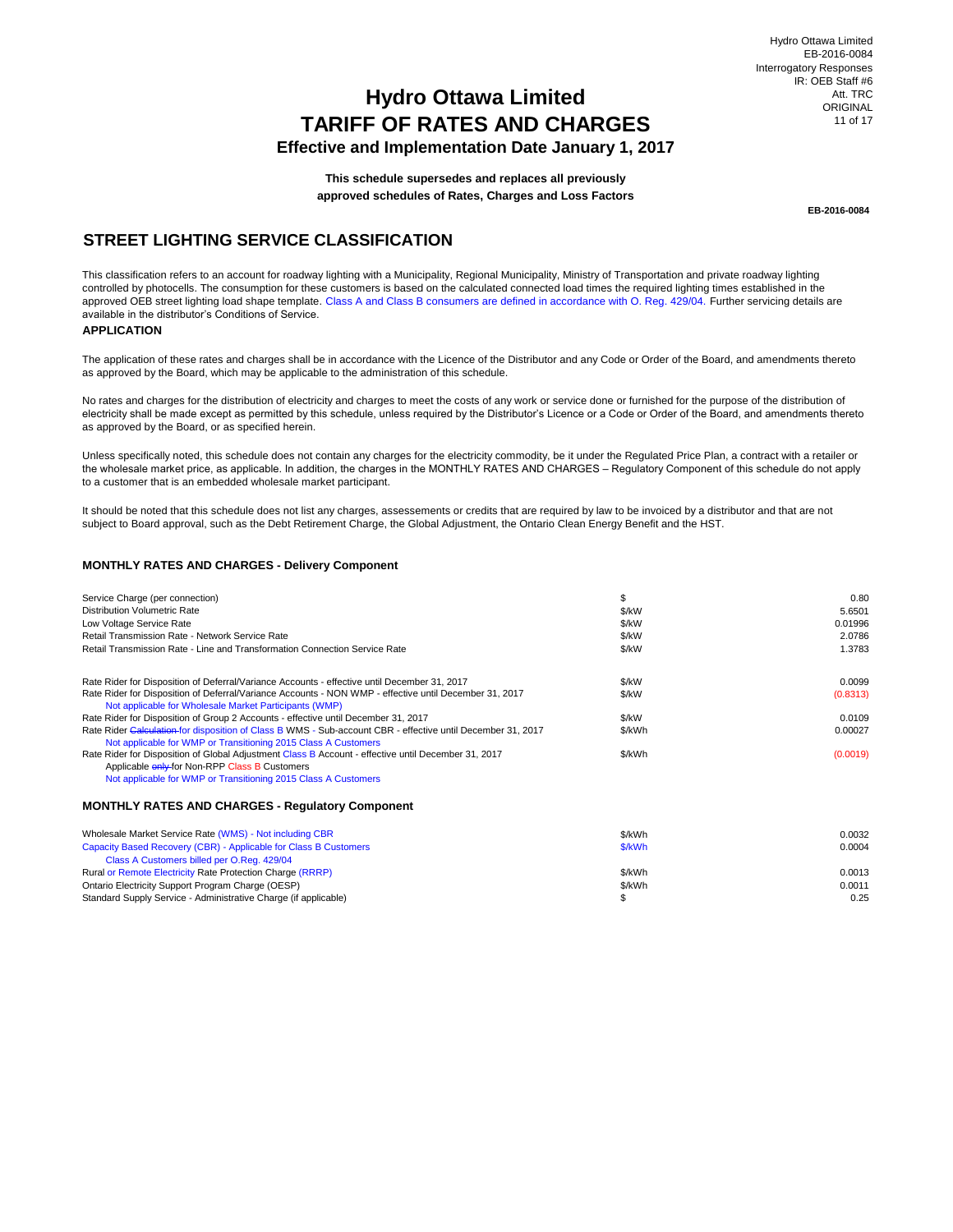## **Effective and Implementation Date January 1, 2017**

**This schedule supersedes and replaces all previously approved schedules of Rates, Charges and Loss Factors**

**EB-2016-0084**

## **STREET LIGHTING SERVICE CLASSIFICATION**

This classification refers to an account for roadway lighting with a Municipality, Regional Municipality, Ministry of Transportation and private roadway lighting controlled by photocells. The consumption for these customers is based on the calculated connected load times the required lighting times established in the approved OEB street lighting load shape template. Class A and Class B consumers are defined in accordance with O. Reg. 429/04. Further servicing details are available in the distributor's Conditions of Service.

### **APPLICATION**

The application of these rates and charges shall be in accordance with the Licence of the Distributor and any Code or Order of the Board, and amendments thereto as approved by the Board, which may be applicable to the administration of this schedule.

No rates and charges for the distribution of electricity and charges to meet the costs of any work or service done or furnished for the purpose of the distribution of electricity shall be made except as permitted by this schedule, unless required by the Distributor's Licence or a Code or Order of the Board, and amendments thereto as approved by the Board, or as specified herein.

Unless specifically noted, this schedule does not contain any charges for the electricity commodity, be it under the Regulated Price Plan, a contract with a retailer or the wholesale market price, as applicable. In addition, the charges in the MONTHLY RATES AND CHARGES – Regulatory Component of this schedule do not apply to a customer that is an embedded wholesale market participant.

It should be noted that this schedule does not list any charges, assessements or credits that are required by law to be invoiced by a distributor and that are not subject to Board approval, such as the Debt Retirement Charge, the Global Adjustment, the Ontario Clean Energy Benefit and the HST.

#### **MONTHLY RATES AND CHARGES - Delivery Component**

| Service Charge (per connection)                                                                                                                                                         |        | 0.80     |  |
|-----------------------------------------------------------------------------------------------------------------------------------------------------------------------------------------|--------|----------|--|
| Distribution Volumetric Rate                                                                                                                                                            | \$/kW  | 5.6501   |  |
| Low Voltage Service Rate                                                                                                                                                                | \$/kW  | 0.01996  |  |
| Retail Transmission Rate - Network Service Rate                                                                                                                                         | \$/kW  | 2.0786   |  |
| Retail Transmission Rate - Line and Transformation Connection Service Rate                                                                                                              | \$/kW  | 1.3783   |  |
| Rate Rider for Disposition of Deferral/Variance Accounts - effective until December 31, 2017                                                                                            | \$/kW  | 0.0099   |  |
| Rate Rider for Disposition of Deferral/Variance Accounts - NON WMP - effective until December 31, 2017<br>Not applicable for Wholesale Market Participants (WMP)                        | \$/kW  | (0.8313) |  |
| Rate Rider for Disposition of Group 2 Accounts - effective until December 31, 2017                                                                                                      | \$/kW  | 0.0109   |  |
| Rate Rider Calculation for disposition of Class B WMS - Sub-account CBR - effective until December 31, 2017<br>\$/kWh<br>Not applicable for WMP or Transitioning 2015 Class A Customers |        |          |  |
| Rate Rider for Disposition of Global Adjustment Class B Account - effective until December 31, 2017                                                                                     | \$/kWh | (0.0019) |  |
| Applicable <b>enly</b> for Non-RPP Class B Customers                                                                                                                                    |        |          |  |
| Not applicable for WMP or Transitioning 2015 Class A Customers                                                                                                                          |        |          |  |

#### **MONTHLY RATES AND CHARGES - Regulatory Component**

| Wholesale Market Service Rate (WMS) - Not including CBR          | \$/kWh | 0.0032 |
|------------------------------------------------------------------|--------|--------|
| Capacity Based Recovery (CBR) - Applicable for Class B Customers | \$/kWh | 0.0004 |
| Class A Customers billed per O.Reg. 429/04                       |        |        |
| Rural or Remote Electricity Rate Protection Charge (RRRP)        | \$/kWh | 0.0013 |
| Ontario Electricity Support Program Charge (OESP)                | \$/kWh | 0.0011 |
| Standard Supply Service - Administrative Charge (if applicable)  |        | 0.25   |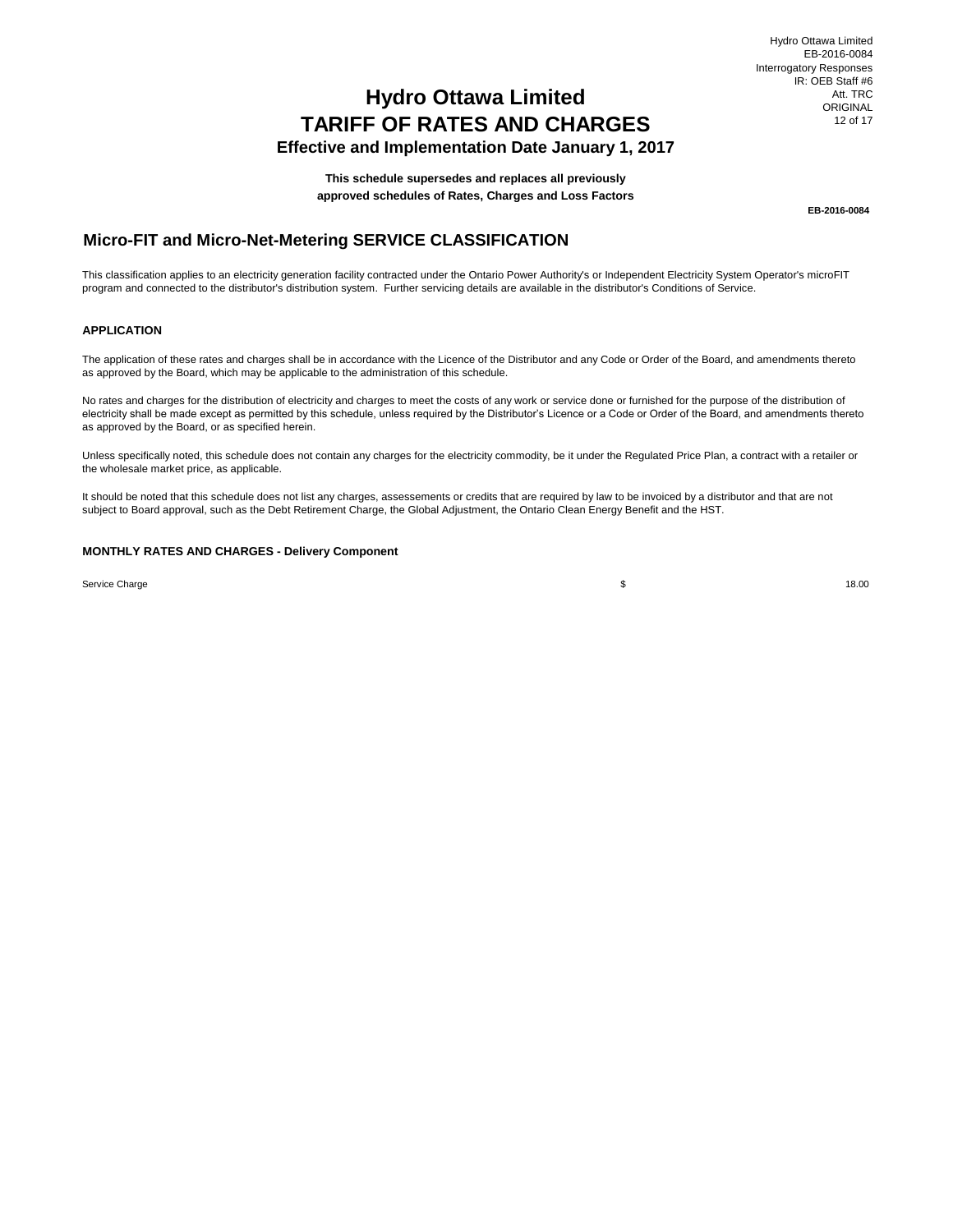## **TARIFF OF RATES AND CHARGES Effective and Implementation Date January 1, 2017 Hydro Ottawa Limited**

**This schedule supersedes and replaces all previously**

**approved schedules of Rates, Charges and Loss Factors**

**EB-2016-0084**

## **Micro-FIT and Micro-Net-Metering SERVICE CLASSIFICATION**

This classification applies to an electricity generation facility contracted under the Ontario Power Authority's or Independent Electricity System Operator's microFIT program and connected to the distributor's distribution system. Further servicing details are available in the distributor's Conditions of Service.

#### **APPLICATION**

The application of these rates and charges shall be in accordance with the Licence of the Distributor and any Code or Order of the Board, and amendments thereto as approved by the Board, which may be applicable to the administration of this schedule.

No rates and charges for the distribution of electricity and charges to meet the costs of any work or service done or furnished for the purpose of the distribution of electricity shall be made except as permitted by this schedule, unless required by the Distributor's Licence or a Code or Order of the Board, and amendments thereto as approved by the Board, or as specified herein.

Unless specifically noted, this schedule does not contain any charges for the electricity commodity, be it under the Regulated Price Plan, a contract with a retailer or the wholesale market price, as applicable.

It should be noted that this schedule does not list any charges, assessements or credits that are required by law to be invoiced by a distributor and that are not subject to Board approval, such as the Debt Retirement Charge, the Global Adjustment, the Ontario Clean Energy Benefit and the HST.

#### **MONTHLY RATES AND CHARGES - Delivery Component**

Service Charge

 $\frac{18.00}{18.00}$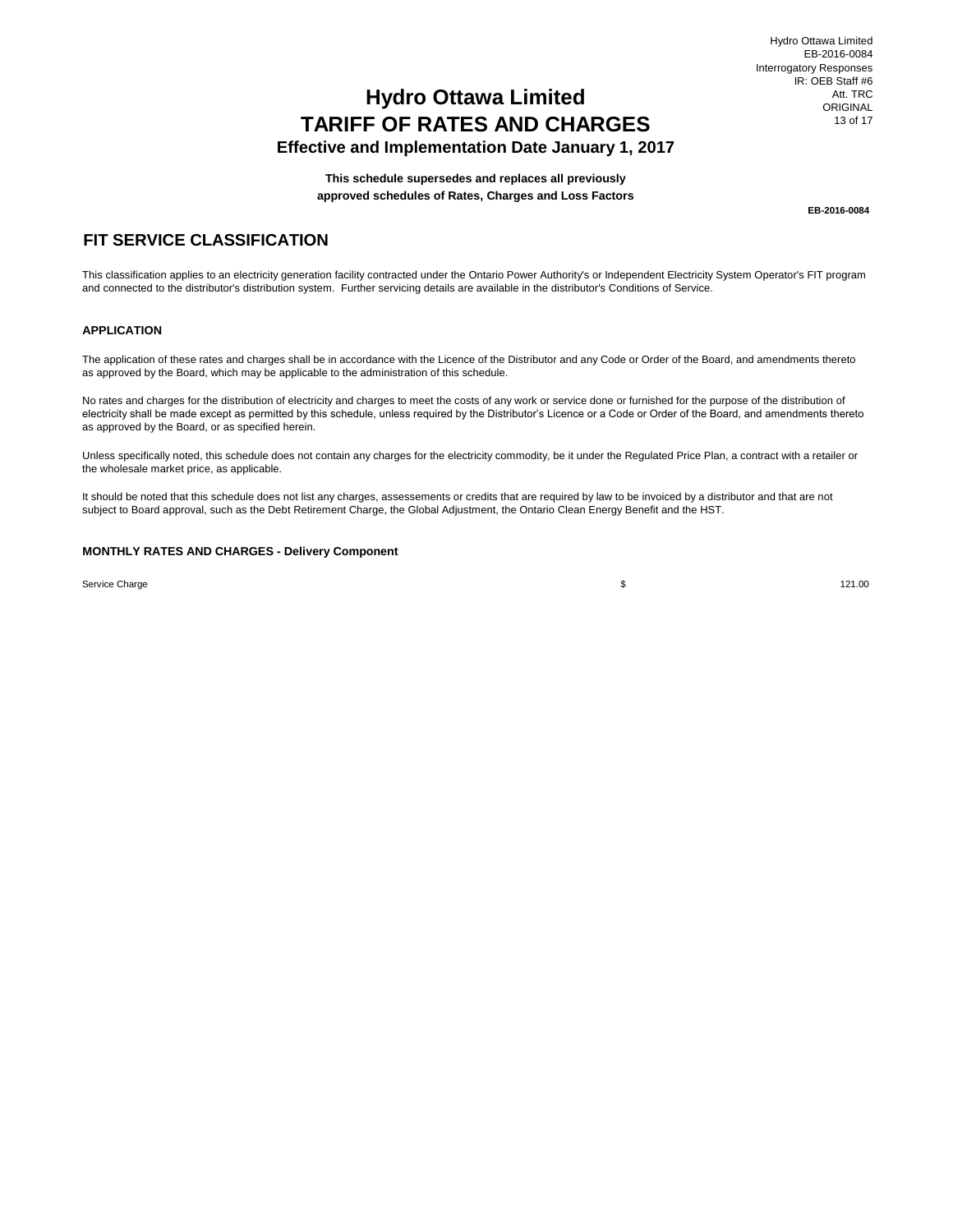**Effective and Implementation Date January 1, 2017**

**This schedule supersedes and replaces all previously approved schedules of Rates, Charges and Loss Factors**

**EB-2016-0084**

## **FIT SERVICE CLASSIFICATION**

This classification applies to an electricity generation facility contracted under the Ontario Power Authority's or Independent Electricity System Operator's FIT program and connected to the distributor's distribution system. Further servicing details are available in the distributor's Conditions of Service.

#### **APPLICATION**

The application of these rates and charges shall be in accordance with the Licence of the Distributor and any Code or Order of the Board, and amendments thereto as approved by the Board, which may be applicable to the administration of this schedule.

No rates and charges for the distribution of electricity and charges to meet the costs of any work or service done or furnished for the purpose of the distribution of electricity shall be made except as permitted by this schedule, unless required by the Distributor's Licence or a Code or Order of the Board, and amendments thereto as approved by the Board, or as specified herein.

Unless specifically noted, this schedule does not contain any charges for the electricity commodity, be it under the Regulated Price Plan, a contract with a retailer or the wholesale market price, as applicable.

It should be noted that this schedule does not list any charges, assessements or credits that are required by law to be invoiced by a distributor and that are not subject to Board approval, such as the Debt Retirement Charge, the Global Adjustment, the Ontario Clean Energy Benefit and the HST.

#### **MONTHLY RATES AND CHARGES - Delivery Component**

Service Charge

\$ 121.00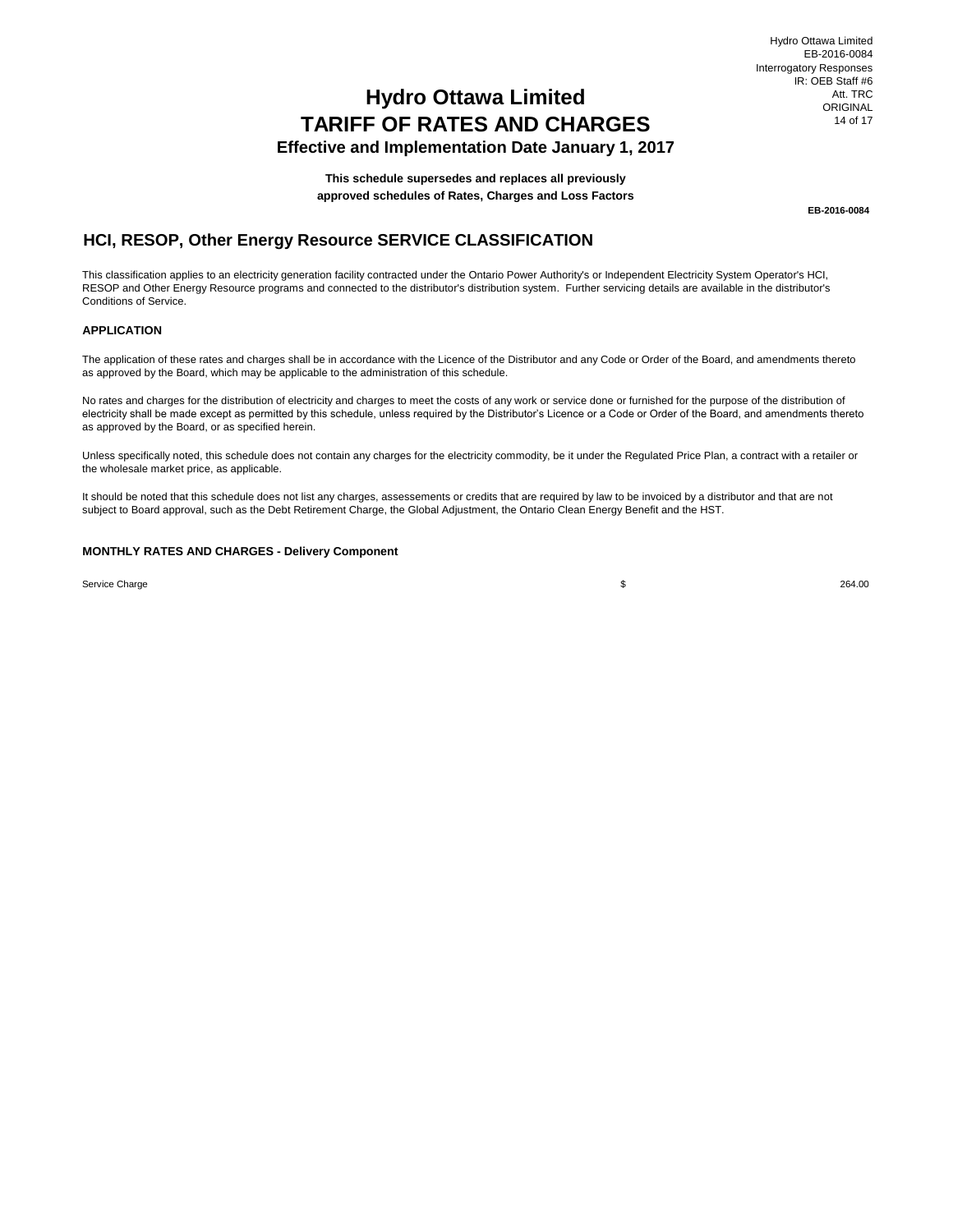## **Hydro Ottawa Limited TARIFF OF RATES AND CHARGES Effective and Implementation Date January 1, 2017**

**This schedule supersedes and replaces all previously**

**approved schedules of Rates, Charges and Loss Factors**

**EB-2016-0084**

## **HCI, RESOP, Other Energy Resource SERVICE CLASSIFICATION**

This classification applies to an electricity generation facility contracted under the Ontario Power Authority's or Independent Electricity System Operator's HCI, RESOP and Other Energy Resource programs and connected to the distributor's distribution system. Further servicing details are available in the distributor's Conditions of Service.

#### **APPLICATION**

The application of these rates and charges shall be in accordance with the Licence of the Distributor and any Code or Order of the Board, and amendments thereto as approved by the Board, which may be applicable to the administration of this schedule.

No rates and charges for the distribution of electricity and charges to meet the costs of any work or service done or furnished for the purpose of the distribution of electricity shall be made except as permitted by this schedule, unless required by the Distributor's Licence or a Code or Order of the Board, and amendments thereto as approved by the Board, or as specified herein.

Unless specifically noted, this schedule does not contain any charges for the electricity commodity, be it under the Regulated Price Plan, a contract with a retailer or the wholesale market price, as applicable.

It should be noted that this schedule does not list any charges, assessements or credits that are required by law to be invoiced by a distributor and that are not subject to Board approval, such as the Debt Retirement Charge, the Global Adjustment, the Ontario Clean Energy Benefit and the HST.

#### **MONTHLY RATES AND CHARGES - Delivery Component**

Service Charge

\$ 264.00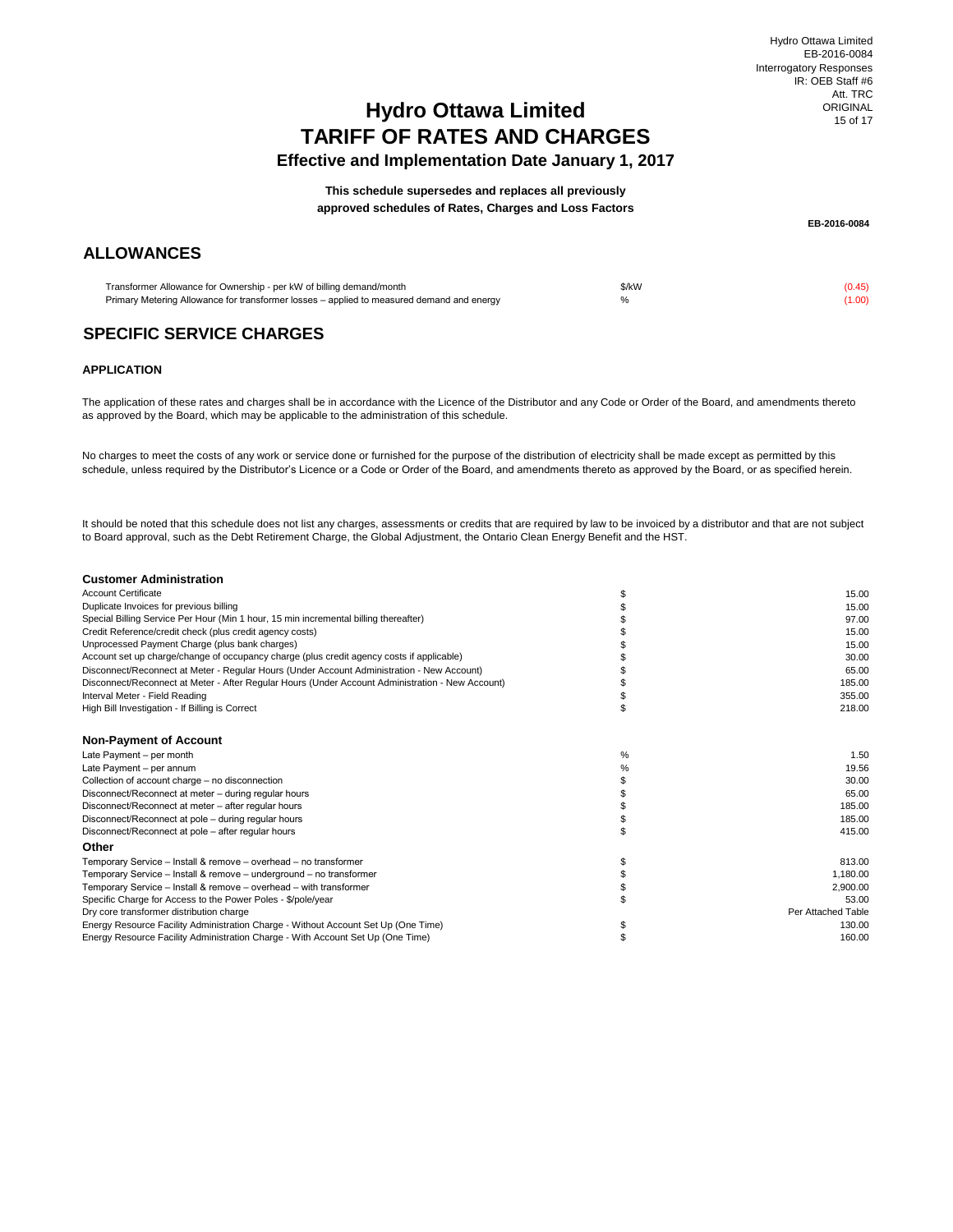## **TARIFF OF RATES AND CHARGES Effective and Implementation Date January 1, 2017 Hydro Ottawa Limited**

**approved schedules of Rates, Charges and Loss Factors This schedule supersedes and replaces all previously**

## **ALLOWANCES**

**EB-2016-0084**

Transformer Allowance for Ownership - per kW of billing demand/month Primary Metering Allowance for transformer losses – applied to measured demand and energy

 $\frac{1}{2}(1.45)$ % (1.00)

## **SPECIFIC SERVICE CHARGES**

### **APPLICATION**

The application of these rates and charges shall be in accordance with the Licence of the Distributor and any Code or Order of the Board, and amendments thereto as approved by the Board, which may be applicable to the administration of this schedule.

No charges to meet the costs of any work or service done or furnished for the purpose of the distribution of electricity shall be made except as permitted by this schedule, unless required by the Distributor's Licence or a Code or Order of the Board, and amendments thereto as approved by the Board, or as specified herein.

It should be noted that this schedule does not list any charges, assessments or credits that are required by law to be invoiced by a distributor and that are not subject to Board approval, such as the Debt Retirement Charge, the Global Adjustment, the Ontario Clean Energy Benefit and the HST.

| <b>Customer Administration</b>                                                                   |      |                    |
|--------------------------------------------------------------------------------------------------|------|--------------------|
| <b>Account Certificate</b>                                                                       | \$   | 15.00              |
| Duplicate Invoices for previous billing                                                          |      | 15.00              |
| Special Billing Service Per Hour (Min 1 hour, 15 min incremental billing thereafter)             |      | 97.00              |
| Credit Reference/credit check (plus credit agency costs)                                         |      | 15.00              |
| Unprocessed Payment Charge (plus bank charges)                                                   |      | 15.00              |
| Account set up charge/change of occupancy charge (plus credit agency costs if applicable)        |      | 30.00              |
| Disconnect/Reconnect at Meter - Regular Hours (Under Account Administration - New Account)       |      | 65.00              |
| Disconnect/Reconnect at Meter - After Regular Hours (Under Account Administration - New Account) |      | 185.00             |
| Interval Meter - Field Reading                                                                   |      | 355.00             |
| High Bill Investigation - If Billing is Correct                                                  |      | 218.00             |
| <b>Non-Payment of Account</b>                                                                    |      |                    |
| Late Payment - per month                                                                         | $\%$ | 1.50               |
| Late Payment - per annum                                                                         | %    | 19.56              |
| Collection of account charge - no disconnection                                                  | \$   | 30.00              |
| Disconnect/Reconnect at meter - during regular hours                                             |      | 65.00              |
| Disconnect/Reconnect at meter - after regular hours                                              |      | 185.00             |
| Disconnect/Reconnect at pole - during regular hours                                              |      | 185.00             |
| Disconnect/Reconnect at pole - after regular hours                                               | \$   | 415.00             |
| Other                                                                                            |      |                    |
| Temporary Service - Install & remove - overhead - no transformer                                 | \$   | 813.00             |
| Temporary Service - Install & remove - underground - no transformer                              |      | 1.180.00           |
| Temporary Service - Install & remove - overhead - with transformer                               |      | 2.900.00           |
| Specific Charge for Access to the Power Poles - \$/pole/year                                     |      | 53.00              |
| Dry core transformer distribution charge                                                         |      | Per Attached Table |
| Energy Resource Facility Administration Charge - Without Account Set Up (One Time)               |      | 130.00             |
| Energy Resource Facility Administration Charge - With Account Set Up (One Time)                  | \$   | 160.00             |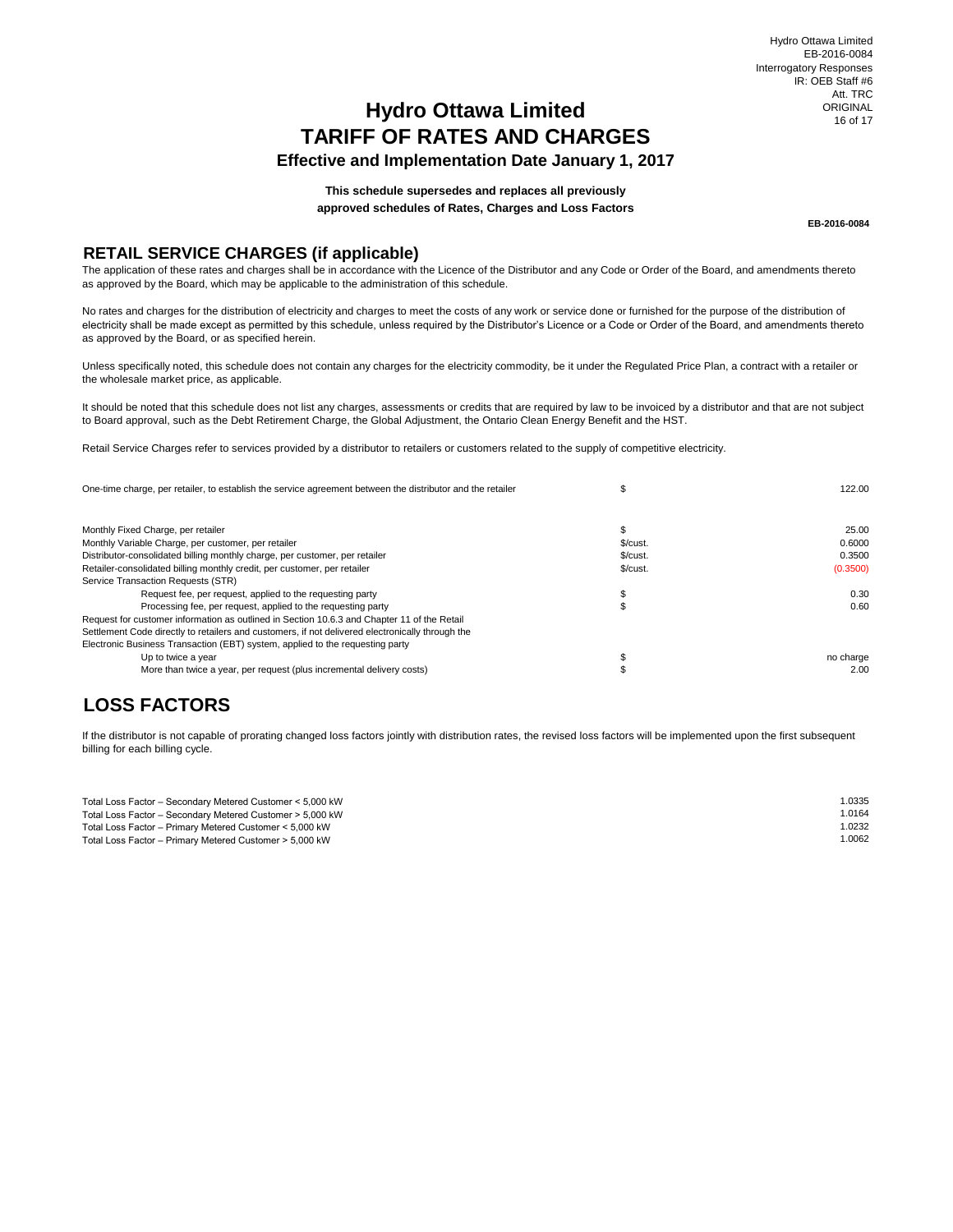## **Hydro Ottawa Limited TARIFF OF RATES AND CHARGES Effective and Implementation Date January 1, 2017**

Hydro Ottawa Limited EB-2016-0084 Interrogatory Responses IR: OEB Staff #6 Att. TRC ORIGINAL 16 of 17

**This schedule supersedes and replaces all previously approved schedules of Rates, Charges and Loss Factors**

**EB-2016-0084**

## **RETAIL SERVICE CHARGES (if applicable)**

The application of these rates and charges shall be in accordance with the Licence of the Distributor and any Code or Order of the Board, and amendments thereto as approved by the Board, which may be applicable to the administration of this schedule.

No rates and charges for the distribution of electricity and charges to meet the costs of any work or service done or furnished for the purpose of the distribution of electricity shall be made except as permitted by this schedule, unless required by the Distributor's Licence or a Code or Order of the Board, and amendments thereto as approved by the Board, or as specified herein.

Unless specifically noted, this schedule does not contain any charges for the electricity commodity, be it under the Regulated Price Plan, a contract with a retailer or the wholesale market price, as applicable.

It should be noted that this schedule does not list any charges, assessments or credits that are required by law to be invoiced by a distributor and that are not subject to Board approval, such as the Debt Retirement Charge, the Global Adjustment, the Ontario Clean Energy Benefit and the HST.

Retail Service Charges refer to services provided by a distributor to retailers or customers related to the supply of competitive electricity.

| One-time charge, per retailer, to establish the service agreement between the distributor and the retailer |          | 122.00    |  |
|------------------------------------------------------------------------------------------------------------|----------|-----------|--|
|                                                                                                            |          |           |  |
| Monthly Fixed Charge, per retailer                                                                         |          | 25.00     |  |
| Monthly Variable Charge, per customer, per retailer                                                        | \$/cut.  | 0.6000    |  |
| Distributor-consolidated billing monthly charge, per customer, per retailer                                | \$/cust. | 0.3500    |  |
| Retailer-consolidated billing monthly credit, per customer, per retailer                                   | \$/cut.  | (0.3500)  |  |
| Service Transaction Requests (STR)                                                                         |          |           |  |
| Request fee, per request, applied to the requesting party                                                  |          | 0.30      |  |
| Processing fee, per request, applied to the requesting party                                               |          | 0.60      |  |
| Request for customer information as outlined in Section 10.6.3 and Chapter 11 of the Retail                |          |           |  |
| Settlement Code directly to retailers and customers, if not delivered electronically through the           |          |           |  |
| Electronic Business Transaction (EBT) system, applied to the requesting party                              |          |           |  |
| Up to twice a year                                                                                         |          | no charge |  |
| More than twice a year, per request (plus incremental delivery costs)                                      |          | 2.00      |  |

## **LOSS FACTORS**

If the distributor is not capable of prorating changed loss factors jointly with distribution rates, the revised loss factors will be implemented upon the first subsequent billing for each billing cycle.

| 1.0335 |
|--------|
| 1.0164 |
| 1.0232 |
| 1.0062 |
|        |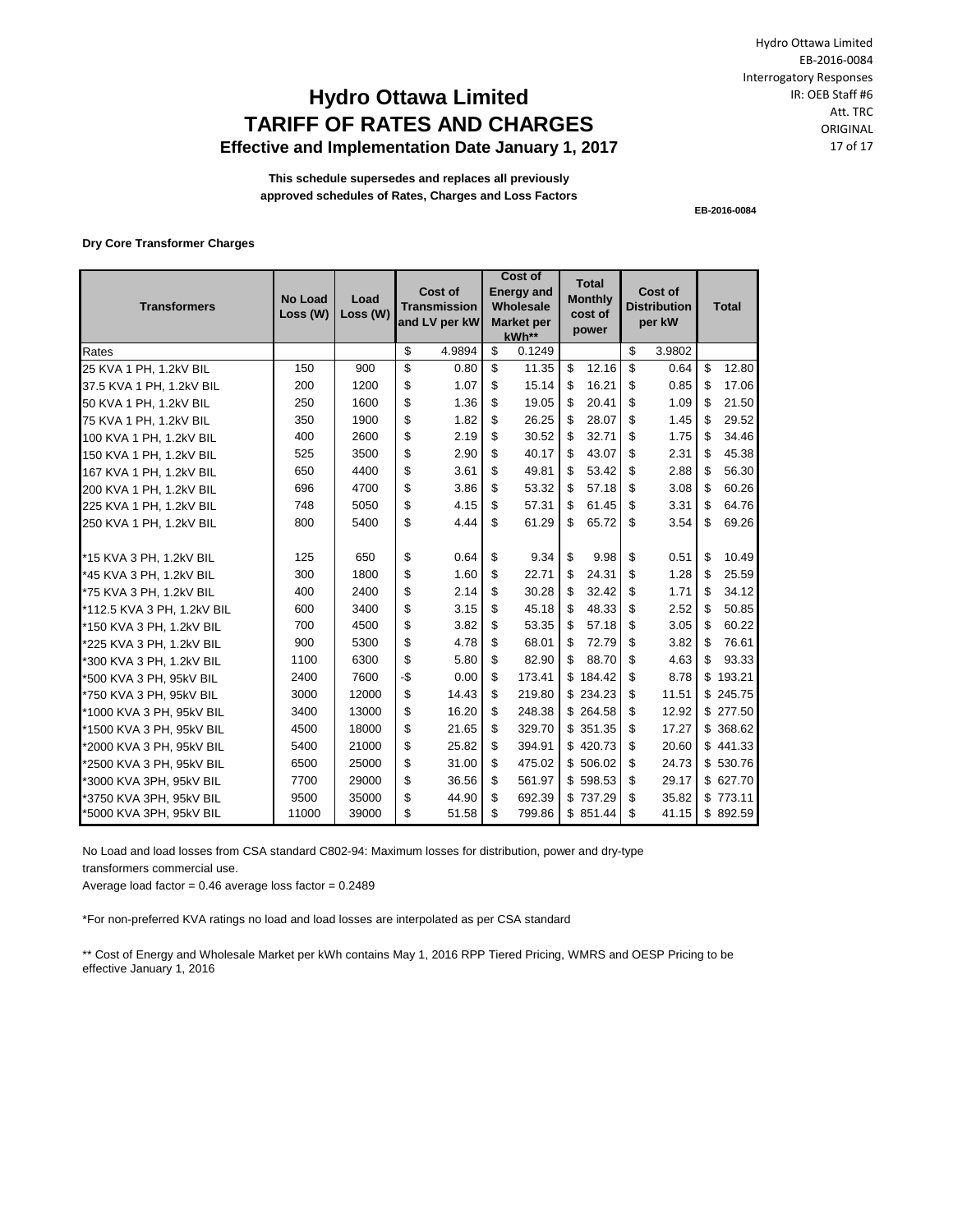## **Hydro Ottawa Limited TARIFF OF RATES AND CHARGES Effective and Implementation Date January 1, 2017**

Hydro Ottawa Limited EB-2016-0084 Interrogatory Responses IR: OEB Staff #6 Att. TRC ORIGINAL 17 of 17

**This schedule supersedes and replaces all previously approved schedules of Rates, Charges and Loss Factors**

**EB-2016-0084**

**Dry Core Transformer Charges**

| <b>Transformers</b>        | <b>No Load</b><br>Loss (W) | Load<br>Loss (W) | Cost of<br><b>Transmission</b><br>and LV per kW |        | <b>Cost of</b><br><b>Total</b><br><b>Energy and</b><br><b>Monthly</b><br>Wholesale<br>cost of<br><b>Market per</b><br>power<br>kWh** |        |             | Cost of<br><b>Distribution</b><br>per kW | <b>Total</b> |              |
|----------------------------|----------------------------|------------------|-------------------------------------------------|--------|--------------------------------------------------------------------------------------------------------------------------------------|--------|-------------|------------------------------------------|--------------|--------------|
| Rates                      |                            |                  | \$                                              | 4.9894 | \$                                                                                                                                   | 0.1249 |             | \$                                       | 3.9802       |              |
| 25 KVA 1 PH, 1.2kV BIL     | 150                        | 900              | \$                                              | 0.80   | \$                                                                                                                                   | 11.35  | \$<br>12.16 | \$                                       | 0.64         | \$<br>12.80  |
| 37.5 KVA 1 PH, 1.2kV BIL   | 200                        | 1200             | \$                                              | 1.07   | \$                                                                                                                                   | 15.14  | \$<br>16.21 | \$                                       | 0.85         | \$<br>17.06  |
| 50 KVA 1 PH, 1.2kV BIL     | 250                        | 1600             | \$                                              | 1.36   | \$                                                                                                                                   | 19.05  | \$<br>20.41 | \$                                       | 1.09         | \$<br>21.50  |
| 75 KVA 1 PH, 1.2kV BIL     | 350                        | 1900             | \$                                              | 1.82   | \$                                                                                                                                   | 26.25  | \$<br>28.07 | \$                                       | 1.45         | \$<br>29.52  |
| 100 KVA 1 PH, 1.2kV BIL    | 400                        | 2600             | \$                                              | 2.19   | \$                                                                                                                                   | 30.52  | \$<br>32.71 | \$                                       | 1.75         | \$<br>34.46  |
| 150 KVA 1 PH, 1.2kV BIL    | 525                        | 3500             | \$                                              | 2.90   | \$                                                                                                                                   | 40.17  | \$<br>43.07 | \$                                       | 2.31         | \$<br>45.38  |
| 167 KVA 1 PH, 1.2kV BIL    | 650                        | 4400             | \$                                              | 3.61   | \$                                                                                                                                   | 49.81  | \$<br>53.42 | \$                                       | 2.88         | \$<br>56.30  |
| 200 KVA 1 PH, 1.2kV BIL    | 696                        | 4700             | \$                                              | 3.86   | \$                                                                                                                                   | 53.32  | \$<br>57.18 | \$.                                      | 3.08         | \$<br>60.26  |
| 225 KVA 1 PH, 1.2kV BIL    | 748                        | 5050             | \$                                              | 4.15   | \$                                                                                                                                   | 57.31  | \$<br>61.45 | \$                                       | 3.31         | \$<br>64.76  |
| 250 KVA 1 PH, 1.2kV BIL    | 800                        | 5400             | \$                                              | 4.44   | \$                                                                                                                                   | 61.29  | \$<br>65.72 | \$                                       | 3.54         | \$<br>69.26  |
| *15 KVA 3 PH, 1.2kV BIL    | 125                        | 650              | \$                                              | 0.64   | \$                                                                                                                                   | 9.34   | \$<br>9.98  | \$                                       | 0.51         | \$<br>10.49  |
| *45 KVA 3 PH. 1.2kV BIL    | 300                        | 1800             | \$                                              | 1.60   | \$                                                                                                                                   | 22.71  | \$<br>24.31 | \$.                                      | 1.28         | \$<br>25.59  |
| *75 KVA 3 PH, 1.2kV BIL    | 400                        | 2400             | \$                                              | 2.14   | \$                                                                                                                                   | 30.28  | \$<br>32.42 | \$                                       | 1.71         | \$<br>34.12  |
| *112.5 KVA 3 PH, 1.2kV BIL | 600                        | 3400             | \$                                              | 3.15   | \$                                                                                                                                   | 45.18  | \$<br>48.33 | \$                                       | 2.52         | \$<br>50.85  |
| *150 KVA 3 PH. 1.2kV BIL   | 700                        | 4500             | \$                                              | 3.82   | \$                                                                                                                                   | 53.35  | \$<br>57.18 | \$.                                      | 3.05         | \$<br>60.22  |
| *225 KVA 3 PH, 1.2kV BIL   | 900                        | 5300             | \$                                              | 4.78   | \$                                                                                                                                   | 68.01  | \$<br>72.79 | \$                                       | 3.82         | \$<br>76.61  |
| *300 KVA 3 PH, 1.2kV BIL   | 1100                       | 6300             | \$                                              | 5.80   | \$                                                                                                                                   | 82.90  | \$<br>88.70 | \$                                       | 4.63         | \$<br>93.33  |
| *500 KVA 3 PH, 95kV BIL    | 2400                       | 7600             | -\$                                             | 0.00   | \$                                                                                                                                   | 173.41 | \$184.42    | \$                                       | 8.78         | \$<br>193.21 |
| *750 KVA 3 PH. 95kV BIL    | 3000                       | 12000            | \$                                              | 14.43  | \$                                                                                                                                   | 219.80 | \$234.23    | \$                                       | 11.51        | \$245.75     |
| *1000 KVA 3 PH, 95kV BIL   | 3400                       | 13000            | \$                                              | 16.20  | \$                                                                                                                                   | 248.38 | \$264.58    | \$                                       | 12.92        | \$277.50     |
| *1500 KVA 3 PH, 95kV BIL   | 4500                       | 18000            | \$                                              | 21.65  | \$                                                                                                                                   | 329.70 | \$351.35    | \$                                       | 17.27        | \$368.62     |
| *2000 KVA 3 PH, 95kV BIL   | 5400                       | 21000            | \$                                              | 25.82  | \$                                                                                                                                   | 394.91 | \$420.73    | \$                                       | 20.60        | \$441.33     |
| *2500 KVA 3 PH, 95kV BIL   | 6500                       | 25000            | \$                                              | 31.00  | \$                                                                                                                                   | 475.02 | \$506.02    | \$                                       | 24.73        | \$530.76     |
| *3000 KVA 3PH, 95kV BIL    | 7700                       | 29000            | \$                                              | 36.56  | \$                                                                                                                                   | 561.97 | \$598.53    | \$                                       | 29.17        | \$ 627.70    |
| *3750 KVA 3PH, 95kV BIL    | 9500                       | 35000            | \$                                              | 44.90  | \$                                                                                                                                   | 692.39 | \$737.29    | \$                                       | 35.82        | \$773.11     |
| *5000 KVA 3PH, 95kV BIL    | 11000                      | 39000            | \$                                              | 51.58  | \$                                                                                                                                   | 799.86 | \$851.44    | \$                                       | 41.15        | \$892.59     |

No Load and load losses from CSA standard C802-94: Maximum losses for distribution, power and dry-type transformers commercial use.

Average load factor =  $0.46$  average loss factor =  $0.2489$ 

\*For non-preferred KVA ratings no load and load losses are interpolated as per CSA standard

\*\* Cost of Energy and Wholesale Market per kWh contains May 1, 2016 RPP Tiered Pricing, WMRS and OESP Pricing to be effective January 1, 2016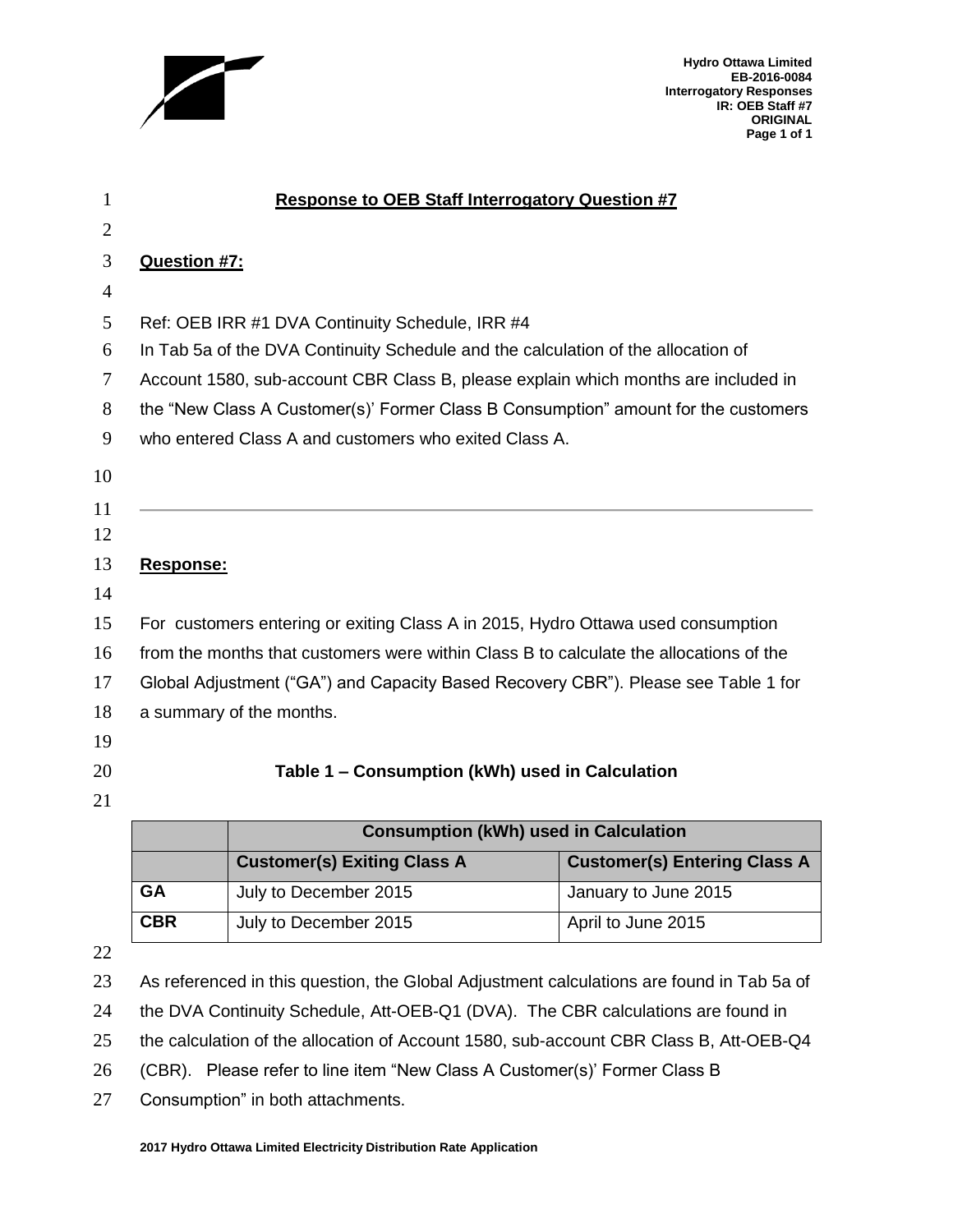

**Hydro Ottawa Limited EB-2016-0084 Interrogatory Responses IR: OEB Staff #7 ORIGINAL Page 1 of 1**

| 1              | <b>Response to OEB Staff Interrogatory Question #7</b>                                 |
|----------------|----------------------------------------------------------------------------------------|
| $\overline{2}$ |                                                                                        |
| 3              | <b>Question #7:</b>                                                                    |
| $\overline{4}$ |                                                                                        |
| 5              | Ref: OEB IRR #1 DVA Continuity Schedule, IRR #4                                        |
| 6              | In Tab 5a of the DVA Continuity Schedule and the calculation of the allocation of      |
| 7              | Account 1580, sub-account CBR Class B, please explain which months are included in     |
| 8              | the "New Class A Customer(s)' Former Class B Consumption" amount for the customers     |
| 9              | who entered Class A and customers who exited Class A.                                  |
| 10             |                                                                                        |
| 11             |                                                                                        |
| 12             |                                                                                        |
| 13             | Response:                                                                              |
| 14             |                                                                                        |
| 15             | For customers entering or exiting Class A in 2015, Hydro Ottawa used consumption       |
| 16             | from the months that customers were within Class B to calculate the allocations of the |
| 17             | Global Adjustment ("GA") and Capacity Based Recovery CBR"). Please see Table 1 for     |
| 18             | a summary of the months.                                                               |
| 19             |                                                                                        |
| 20             | Table 1 - Consumption (kWh) used in Calculation                                        |
| 21             |                                                                                        |
|                | <b>Consumption (kWh) used in Calculation</b>                                           |

|            | Consumption (kwn) used in Calculation                                     |                      |  |  |  |  |  |
|------------|---------------------------------------------------------------------------|----------------------|--|--|--|--|--|
|            | <b>Customer(s) Entering Class A</b><br><b>Customer(s) Exiting Class A</b> |                      |  |  |  |  |  |
| GA         | July to December 2015                                                     | January to June 2015 |  |  |  |  |  |
| <b>CBR</b> | July to December 2015                                                     | April to June 2015   |  |  |  |  |  |

As referenced in this question, the Global Adjustment calculations are found in Tab 5a of

24 the DVA Continuity Schedule, Att-OEB-Q1 (DVA). The CBR calculations are found in

the calculation of the allocation of Account 1580, sub-account CBR Class B, Att-OEB-Q4

(CBR). Please refer to line item "New Class A Customer(s)' Former Class B

Consumption" in both attachments.